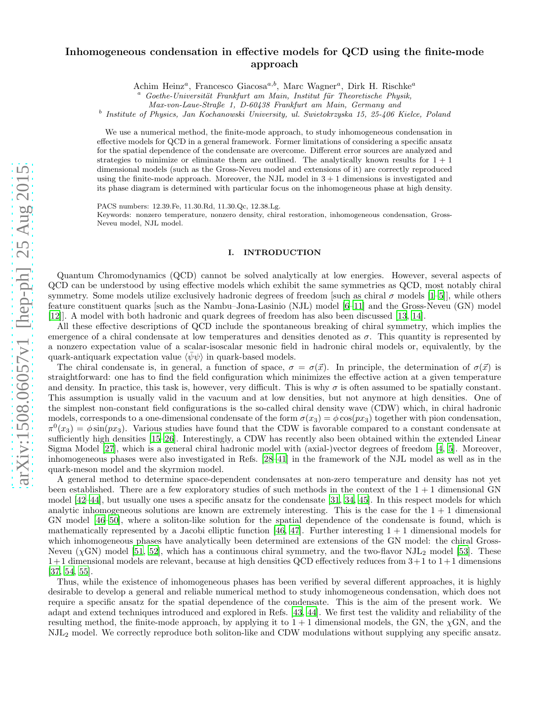# arXiv:1508.06057v1 [hep-ph] 25 Aug 2015 [arXiv:1508.06057v1 \[hep-ph\] 25 Aug 2015](http://arxiv.org/abs/1508.06057v1)

# Inhomogeneous condensation in effective models for QCD using the finite-mode approach

Achim Heinz<sup>a</sup>, Francesco Giacosa<sup>a,b</sup>, Marc Wagner<sup>a</sup>, Dirk H. Rischke<sup>a</sup>

Goethe-Universität Frankfurt am Main, Institut für Theoretische Physik,

Max-von-Laue-Straße 1, D-60438 Frankfurt am Main, Germany and

b Institute of Physics, Jan Kochanowski University, ul. Swietokrzyska 15, 25-406 Kielce, Poland

We use a numerical method, the finite-mode approach, to study inhomogeneous condensation in effective models for QCD in a general framework. Former limitations of considering a specific ansatz for the spatial dependence of the condensate are overcome. Different error sources are analyzed and strategies to minimize or eliminate them are outlined. The analytically known results for  $1 + 1$ dimensional models (such as the Gross-Neveu model and extensions of it) are correctly reproduced using the finite-mode approach. Moreover, the NJL model in  $3 + 1$  dimensions is investigated and its phase diagram is determined with particular focus on the inhomogeneous phase at high density.

PACS numbers: 12.39.Fe, 11.30.Rd, 11.30.Qc, 12.38.Lg. Keywords: nonzero temperature, nonzero density, chiral restoration, inhomogeneous condensation, Gross-Neveu model, NJL model.

# I. INTRODUCTION

Quantum Chromodynamics (QCD) cannot be solved analytically at low energies. However, several aspects of QCD can be understood by using effective models which exhibit the same symmetries as QCD, most notably chiral symmetry. Some models utilize exclusively hadronic degrees of freedom [such as chiral  $\sigma$  models [\[1](#page-17-0)[–5\]](#page-17-1)], while others feature constituent quarks [such as the Nambu–Jona-Lasinio (NJL) model [\[6](#page-17-2)[–11\]](#page-17-3) and the Gross-Neveu (GN) model [\[12\]](#page-17-4)]. A model with both hadronic and quark degrees of freedom has also been discussed [\[13](#page-17-5), [14](#page-17-6)].

All these effective descriptions of QCD include the spontaneous breaking of chiral symmetry, which implies the emergence of a chiral condensate at low temperatures and densities denoted as  $\sigma$ . This quantity is represented by a nonzero expectation value of a scalar-isoscalar mesonic field in hadronic chiral models or, equivalently, by the quark-antiquark expectation value  $\langle \bar{\psi}\psi \rangle$  in quark-based models.

The chiral condensate is, in general, a function of space,  $\sigma = \sigma(\vec{x})$ . In principle, the determination of  $\sigma(\vec{x})$  is straightforward: one has to find the field configuration which minimizes the effective action at a given temperature and density. In practice, this task is, however, very difficult. This is why  $\sigma$  is often assumed to be spatially constant. This assumption is usually valid in the vacuum and at low densities, but not anymore at high densities. One of the simplest non-constant field configurations is the so-called chiral density wave (CDW) which, in chiral hadronic models, corresponds to a one-dimensional condensate of the form  $\sigma(x_3) = \phi \cos(px_3)$  together with pion condensation,  $\pi^{0}(x_3) = \phi \sin(px_3)$ . Various studies have found that the CDW is favorable compared to a constant condensate at sufficiently high densities [\[15](#page-17-7)[–26\]](#page-18-0). Interestingly, a CDW has recently also been obtained within the extended Linear Sigma Model [\[27\]](#page-18-1), which is a general chiral hadronic model with (axial-)vector degrees of freedom [\[4,](#page-17-8) [5\]](#page-17-1). Moreover, inhomogeneous phases were also investigated in Refs. [\[28](#page-18-2)[–41](#page-18-3)] in the framework of the NJL model as well as in the quark-meson model and the skyrmion model.

A general method to determine space-dependent condensates at non-zero temperature and density has not yet been established. There are a few exploratory studies of such methods in the context of the  $1 + 1$  dimensional GN model [\[42](#page-18-4)[–44](#page-18-5)], but usually one uses a specific ansatz for the condensate [\[31,](#page-18-6) [34,](#page-18-7) [45\]](#page-18-8). In this respect models for which analytic inhomogeneous solutions are known are extremely interesting. This is the case for the  $1 + 1$  dimensional GN model [\[46](#page-18-9)[–50\]](#page-18-10), where a soliton-like solution for the spatial dependence of the condensate is found, which is mathematically represented by a Jacobi elliptic function [\[46](#page-18-9), [47\]](#page-18-11). Further interesting  $1 + 1$  dimensional models for which inhomogeneous phases have analytically been determined are extensions of the GN model: the chiral Gross-Neveu ( $\chi$ GN) model [\[51,](#page-18-12) [52](#page-18-13)], which has a continuous chiral symmetry, and the two-flavor NJL<sub>2</sub> model [\[53](#page-18-14)]. These  $1+1$  dimensional models are relevant, because at high densities QCD effectively reduces from  $3+1$  to  $1+1$  dimensions [\[37,](#page-18-15) [54,](#page-18-16) [55\]](#page-18-17).

Thus, while the existence of inhomogeneous phases has been verified by several different approaches, it is highly desirable to develop a general and reliable numerical method to study inhomogeneous condensation, which does not require a specific ansatz for the spatial dependence of the condensate. This is the aim of the present work. We adapt and extend techniques introduced and explored in Refs. [\[43](#page-18-18), [44\]](#page-18-5). We first test the validity and reliability of the resulting method, the finite-mode approach, by applying it to  $1 + 1$  dimensional models, the GN, the  $\chi$ GN, and the NJL<sup>2</sup> model. We correctly reproduce both soliton-like and CDW modulations without supplying any specific ansatz.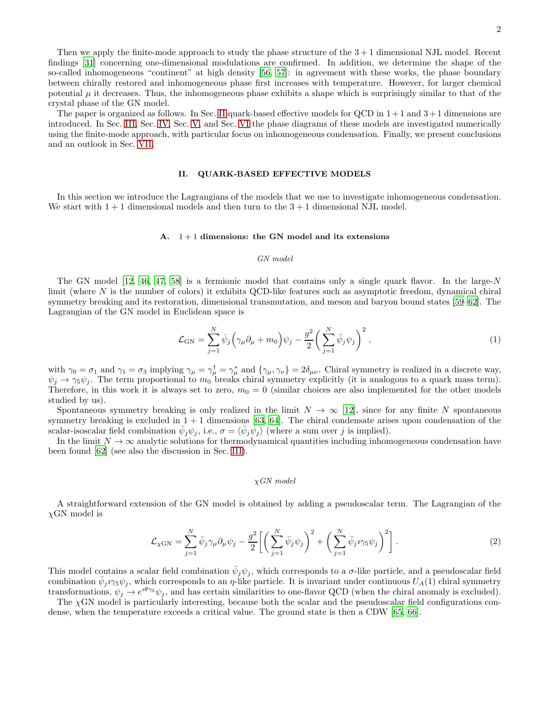Then we apply the finite-mode approach to study the phase structure of the  $3 + 1$  dimensional NJL model. Recent findings [\[31](#page-18-6)] concerning one-dimensional modulations are confirmed. In addition, we determine the shape of the so-called inhomogeneous "continent" at high density [\[56](#page-18-19), [57](#page-18-20)]: in agreement with these works, the phase boundary between chirally restored and inhomogeneous phase first increases with temperature. However, for larger chemical potential  $\mu$  it decreases. Thus, the inhomogeneous phase exhibits a shape which is surprisingly similar to that of the crystal phase of the GN model.

The paper is organized as follows. In Sec. [II](#page-1-0) quark-based effective models for QCD in  $1+1$  and  $3+1$  dimensions are introduced. In Sec. [III,](#page-3-0) Sec. [IV,](#page-13-0) Sec. [V,](#page-13-1) and Sec. [VI](#page-15-0) the phase diagrams of these models are investigated numerically using the finite-mode approach, with particular focus on inhomogeneous condensation. Finally, we present conclusions and an outlook in Sec. [VII.](#page-16-0)

#### <span id="page-1-0"></span>II. QUARK-BASED EFFECTIVE MODELS

In this section we introduce the Lagrangians of the models that we use to investigate inhomogeneous condensation. We start with  $1 + 1$  dimensional models and then turn to the  $3 + 1$  dimensional NJL model.

#### <span id="page-1-1"></span>A.  $1+1$  dimensions: the GN model and its extensions

#### GN model

The GN model  $[12, 46, 47, 58]$  $[12, 46, 47, 58]$  $[12, 46, 47, 58]$  $[12, 46, 47, 58]$  $[12, 46, 47, 58]$  is a fermionic model that contains only a single quark flavor. In the large-N limit (where N is the number of colors) it exhibits QCD-like features such as asymptotic freedom, dynamical chiral symmetry breaking and its restoration, dimensional transmutation, and meson and baryon bound states [\[59](#page-18-22)[–62](#page-18-23)]. The Lagrangian of the GN model in Euclidean space is

<span id="page-1-2"></span>
$$
\mathcal{L}_{\rm GN} = \sum_{j=1}^{N} \bar{\psi}_j \left( \gamma_\mu \partial_\mu + m_0 \right) \psi_j - \frac{g^2}{2} \left( \sum_{j=1}^{N} \bar{\psi}_j \psi_j \right)^2, \tag{1}
$$

with  $\gamma_0 = \sigma_1$  and  $\gamma_1 = \sigma_3$  implying  $\gamma_\mu = \gamma_\mu^{\dagger} = \gamma_\mu^*$  and  $\{\gamma_\mu, \gamma_\nu\} = 2\delta_{\mu\nu}$ . Chiral symmetry is realized in a discrete way,  $\psi_j \to \gamma_5 \psi_j$ . The term proportional to  $m_0$  breaks chiral symmetry explicitly (it is analogous to a quark mass term). Therefore, in this work it is always set to zero,  $m_0 = 0$  (similar choices are also implemented for the other models studied by us).

Spontaneous symmetry breaking is only realized in the limit  $N \to \infty$  [\[12\]](#page-17-4), since for any finite N spontaneous symmetry breaking is excluded in  $1 + 1$  dimensions [\[63](#page-18-24), [64\]](#page-18-25). The chiral condensate arises upon condensation of the scalar-isoscalar field combination  $\bar{\psi}_j \psi_j$ , i.e.,  $\sigma = \langle \bar{\psi}_j \psi_j \rangle$  (where a sum over j is implied).

In the limit  $N \to \infty$  analytic solutions for thermodynamical quantities including inhomogeneous condensation have been found [\[62](#page-18-23)] (see also the discussion in Sec. [III\)](#page-3-0).

# χGN model

A straightforward extension of the GN model is obtained by adding a pseudoscalar term. The Lagrangian of the  $\chi$ GN model is

$$
\mathcal{L}_{\chi \text{GN}} = \sum_{j=1}^{N} \bar{\psi}_j \gamma_\mu \partial_\mu \psi_j - \frac{g^2}{2} \left[ \left( \sum_{j=1}^{N} \bar{\psi}_j \psi_j \right)^2 + \left( \sum_{j=1}^{N} \bar{\psi}_j \gamma_5 \psi_j \right)^2 \right]. \tag{2}
$$

This model contains a scalar field combination  $\bar{\psi}_j \psi_j$ , which corresponds to a  $\sigma$ -like particle, and a pseudoscalar field combination  $\bar{\psi}_j \nu_5 \psi_j$ , which corresponds to an  $\eta$ -like particle. It is invariant under continuous  $U_A(1)$  chiral symmetry transformations,  $\psi_j \to e^{i\theta\gamma_5} \psi_j$ , and has certain similarities to one-flavor QCD (when the chiral anomaly is excluded).

The  $\chi$ GN model is particularly interesting, because both the scalar and the pseudoscalar field configurations condense, when the temperature exceeds a critical value. The ground state is then a CDW [\[65](#page-18-26), [66\]](#page-18-27).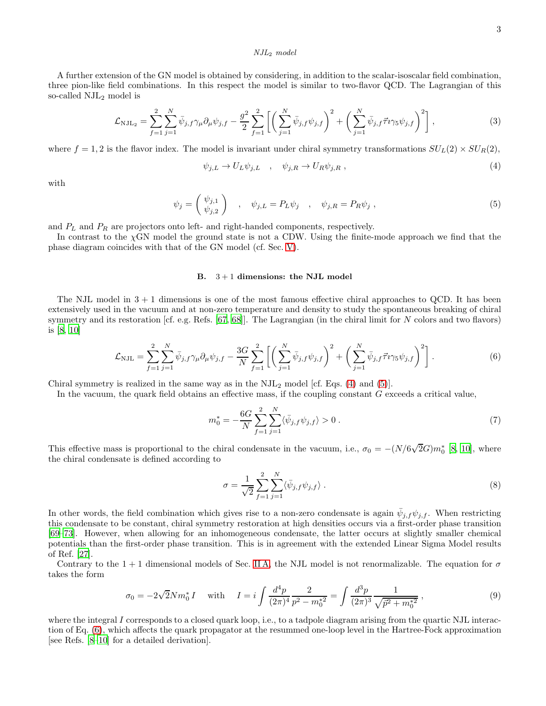#### NJL<sup>2</sup> model

A further extension of the GN model is obtained by considering, in addition to the scalar-isoscalar field combination, three pion-like field combinations. In this respect the model is similar to two-flavor QCD. The Lagrangian of this so-called  $NJL<sub>2</sub>$  model is

$$
\mathcal{L}_{\rm NJL_2} = \sum_{f=1}^{2} \sum_{j=1}^{N} \bar{\psi}_{j,f} \gamma_{\mu} \partial_{\mu} \psi_{j,f} - \frac{g^2}{2} \sum_{f=1}^{2} \left[ \left( \sum_{j=1}^{N} \bar{\psi}_{j,f} \psi_{j,f} \right)^2 + \left( \sum_{j=1}^{N} \bar{\psi}_{j,f} \vec{\tau}_{i} \gamma_{5} \psi_{j,f} \right)^2 \right],
$$
\n(3)

where  $f = 1, 2$  is the flavor index. The model is invariant under chiral symmetry transformations  $SU_L(2) \times SU_R(2)$ ,

<span id="page-2-0"></span>
$$
\psi_{j,L} \to U_L \psi_{j,L} \quad , \quad \psi_{j,R} \to U_R \psi_{j,R} \tag{4}
$$

with

<span id="page-2-1"></span>
$$
\psi_j = \begin{pmatrix} \psi_{j,1} \\ \psi_{j,2} \end{pmatrix} , \quad \psi_{j,L} = P_L \psi_j , \quad \psi_{j,R} = P_R \psi_j , \qquad (5)
$$

and  $P_L$  and  $P_R$  are projectors onto left- and right-handed components, respectively.

In contrast to the  $\chi$ GN model the ground state is not a CDW. Using the finite-mode approach we find that the phase diagram coincides with that of the GN model (cf. Sec. [V\)](#page-13-1).

#### <span id="page-2-6"></span>B.  $3+1$  dimensions: the NJL model

The NJL model in 3 + 1 dimensions is one of the most famous effective chiral approaches to QCD. It has been extensively used in the vacuum and at non-zero temperature and density to study the spontaneous breaking of chiral symmetry and its restoration [cf. e.g. Refs. [\[67,](#page-18-28) [68](#page-18-29)]]. The Lagrangian (in the chiral limit for N colors and two flavors) is [\[8,](#page-17-9) [10\]](#page-17-10)

<span id="page-2-2"></span>
$$
\mathcal{L}_{\rm NJL} = \sum_{f=1}^{2} \sum_{j=1}^{N} \bar{\psi}_{j,f} \gamma_{\mu} \partial_{\mu} \psi_{j,f} - \frac{3G}{N} \sum_{f=1}^{2} \left[ \left( \sum_{j=1}^{N} \bar{\psi}_{j,f} \psi_{j,f} \right)^{2} + \left( \sum_{j=1}^{N} \bar{\psi}_{j,f} \vec{\tau}_{i} \gamma_{5} \psi_{j,f} \right)^{2} \right]. \tag{6}
$$

Chiral symmetry is realized in the same way as in the  $NJL<sub>2</sub>$  model [cf. Eqs. [\(4\)](#page-2-0) and [\(5\)](#page-2-1)].

In the vacuum, the quark field obtains an effective mass, if the coupling constant G exceeds a critical value,

<span id="page-2-3"></span>
$$
m_0^* = -\frac{6G}{N} \sum_{f=1}^2 \sum_{j=1}^N \langle \bar{\psi}_{j,f} \psi_{j,f} \rangle > 0.
$$
 (7)

This effective mass is proportional to the chiral condensate in the vacuum, i.e.,  $\sigma_0 = -(N/6\sqrt{2}G)m_0^*$  [\[8,](#page-17-9) [10](#page-17-10)], where the chiral condensate is defined according to

<span id="page-2-5"></span>
$$
\sigma = \frac{1}{\sqrt{2}} \sum_{f=1}^{2} \sum_{j=1}^{N} \langle \bar{\psi}_{j,f} \psi_{j,f} \rangle . \tag{8}
$$

In other words, the field combination which gives rise to a non-zero condensate is again  $\bar{\psi}_{j,f}\psi_{j,f}$ . When restricting this condensate to be constant, chiral symmetry restoration at high densities occurs via a first-order phase transition [\[69](#page-18-30)[–73\]](#page-18-31). However, when allowing for an inhomogeneous condensate, the latter occurs at slightly smaller chemical potentials than the first-order phase transition. This is in agreement with the extended Linear Sigma Model results of Ref. [\[27\]](#page-18-1).

Contrary to the 1 + 1 dimensional models of Sec. [II A,](#page-1-1) the NJL model is not renormalizable. The equation for  $\sigma$ takes the form

<span id="page-2-4"></span>
$$
\sigma_0 = -2\sqrt{2}Nm_0^*I \quad \text{with} \quad I = i \int \frac{d^4p}{(2\pi)^4} \frac{2}{p^2 - m_0^{*2}} = \int \frac{d^3p}{(2\pi)^3} \frac{1}{\sqrt{\vec{p}^2 + m_0^{*2}}} \,, \tag{9}
$$

where the integral I corresponds to a closed quark loop, i.e., to a tadpole diagram arising from the quartic NJL interaction of Eq. [\(6\)](#page-2-2), which affects the quark propagator at the resummed one-loop level in the Hartree-Fock approximation [see Refs. [\[8](#page-17-9)[–10\]](#page-17-10) for a detailed derivation].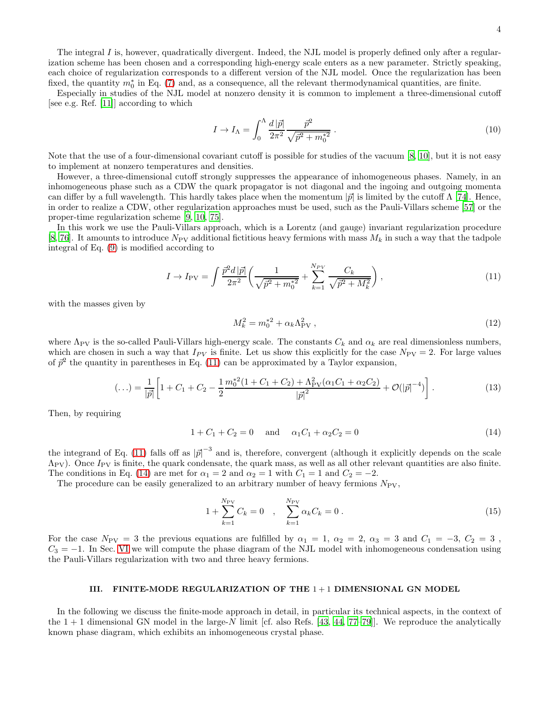Especially in studies of the NJL model at nonzero density it is common to implement a three-dimensional cutoff [see e.g. Ref. [\[11\]](#page-17-3)] according to which

$$
I \to I_{\Lambda} = \int_0^{\Lambda} \frac{d |\vec{p}|}{2\pi^2} \frac{\vec{p}^2}{\sqrt{\vec{p}^2 + m_0^*^2}} \,. \tag{10}
$$

Note that the use of a four-dimensional covariant cutoff is possible for studies of the vacuum [\[8,](#page-17-9) [10](#page-17-10)], but it is not easy to implement at nonzero temperatures and densities.

However, a three-dimensional cutoff strongly suppresses the appearance of inhomogeneous phases. Namely, in an inhomogeneous phase such as a CDW the quark propagator is not diagonal and the ingoing and outgoing momenta can differ by a full wavelength. This hardly takes place when the momentum  $|\vec{p}|$  is limited by the cutoff  $\Lambda$  [\[74](#page-18-32)]. Hence, in order to realize a CDW, other regularization approaches must be used, such as the Pauli-Villars scheme [\[57\]](#page-18-20) or the proper-time regularization scheme [\[9,](#page-17-11) [10,](#page-17-10) [75\]](#page-18-33).

In this work we use the Pauli-Villars approach, which is a Lorentz (and gauge) invariant regularization procedure [\[8,](#page-17-9) [76](#page-18-34)]. It amounts to introduce  $N_{\text{PV}}$  additional fictitious heavy fermions with mass  $M_k$  in such a way that the tadpole integral of Eq. [\(9\)](#page-2-4) is modified according to

<span id="page-3-1"></span>
$$
I \to I_{\rm PV} = \int \frac{\vec{p}^2 d|\vec{p}|}{2\pi^2} \left( \frac{1}{\sqrt{\vec{p}^2 + m_0^{*2}}} + \sum_{k=1}^{N_{PV}} \frac{C_k}{\sqrt{\vec{p}^2 + M_k^2}} \right),\tag{11}
$$

with the masses given by

$$
M_k^2 = m_0^{*2} + \alpha_k \Lambda_{\text{PV}}^2 \,, \tag{12}
$$

where  $\Lambda_{\text{PV}}$  is the so-called Pauli-Villars high-energy scale. The constants  $C_k$  and  $\alpha_k$  are real dimensionless numbers, which are chosen in such a way that  $I_{PV}$  is finite. Let us show this explicitly for the case  $N_{PV} = 2$ . For large values of  $\bar{p}^2$  the quantity in parentheses in Eq. [\(11\)](#page-3-1) can be approximated by a Taylor expansion,

$$
(...)=\frac{1}{|\vec{p}|}\left[1+C_1+C_2-\frac{1}{2}\frac{m_0^{*2}(1+C_1+C_2)+\Lambda_{\text{PV}}^2(\alpha_1C_1+\alpha_2C_2)}{|\vec{p}|^2}+\mathcal{O}(|\vec{p}|^{-4})\right].\tag{13}
$$

Then, by requiring

<span id="page-3-2"></span>
$$
1 + C_1 + C_2 = 0 \quad \text{and} \quad \alpha_1 C_1 + \alpha_2 C_2 = 0 \tag{14}
$$

the integrand of Eq. [\(11\)](#page-3-1) falls off as  $|\vec{p}|^{-3}$  and is, therefore, convergent (although it explicitly depends on the scale  $\Lambda_{\rm PV}$ ). Once  $I_{\rm PV}$  is finite, the quark condensate, the quark mass, as well as all other relevant quantities are also finite. The conditions in Eq. [\(14\)](#page-3-2) are met for  $\alpha_1 = 2$  and  $\alpha_2 = 1$  with  $C_1 = 1$  and  $C_2 = -2$ .

The procedure can be easily generalized to an arbitrary number of heavy fermions  $N_{PV}$ ,

$$
1 + \sum_{k=1}^{N_{\rm PV}} C_k = 0 \quad , \quad \sum_{k=1}^{N_{\rm PV}} \alpha_k C_k = 0 \ . \tag{15}
$$

For the case  $N_{PV} = 3$  the previous equations are fulfilled by  $\alpha_1 = 1$ ,  $\alpha_2 = 2$ ,  $\alpha_3 = 3$  and  $C_1 = -3$ ,  $C_2 = 3$ ,  $C_3 = -1$ . In Sec. [VI](#page-15-0) we will compute the phase diagram of the NJL model with inhomogeneous condensation using the Pauli-Villars regularization with two and three heavy fermions.

## <span id="page-3-0"></span>III. FINITE-MODE REGULARIZATION OF THE  $1+1$  DIMENSIONAL GN MODEL

In the following we discuss the finite-mode approach in detail, in particular its technical aspects, in the context of the  $1 + 1$  dimensional GN model in the large-N limit [cf. also Refs. [\[43](#page-18-18), [44,](#page-18-5) [77](#page-18-35)[–79](#page-18-36)]]. We reproduce the analytically known phase diagram, which exhibits an inhomogeneous crystal phase.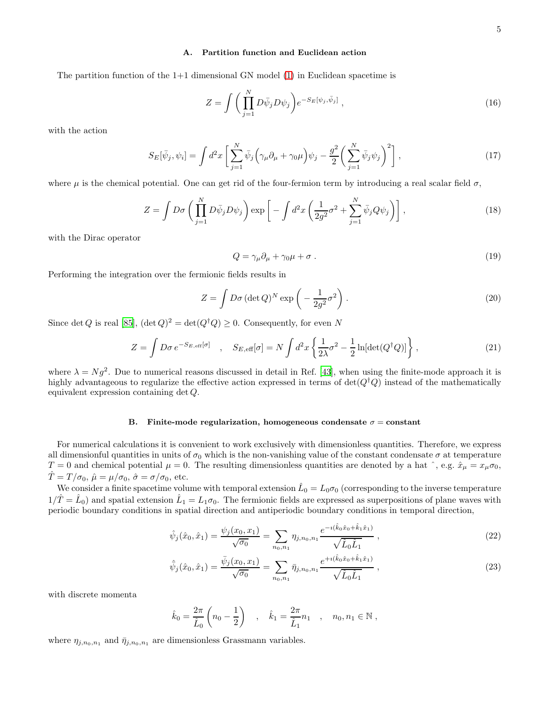# <span id="page-4-2"></span>A. Partition function and Euclidean action

The partition function of the  $1+1$  dimensional GN model  $(1)$  in Euclidean spacetime is

$$
Z = \int \left(\prod_{j=1}^{N} D\bar{\psi}_j D\psi_j\right) e^{-S_E[\psi_j, \bar{\psi}_j]},\tag{16}
$$

with the action

$$
S_E[\bar{\psi}_j, \psi_i] = \int d^2x \left[ \sum_{j=1}^N \bar{\psi}_j \left( \gamma_\mu \partial_\mu + \gamma_0 \mu \right) \psi_j - \frac{g^2}{2} \left( \sum_{j=1}^N \bar{\psi}_j \psi_j \right)^2 \right],\tag{17}
$$

where  $\mu$  is the chemical potential. One can get rid of the four-fermion term by introducing a real scalar field  $\sigma$ ,

$$
Z = \int D\sigma \left( \prod_{j=1}^{N} D\bar{\psi}_j D\psi_j \right) \exp \left[ -\int d^2x \left( \frac{1}{2g^2} \sigma^2 + \sum_{j=1}^{N} \bar{\psi}_j Q\psi_j \right) \right], \tag{18}
$$

with the Dirac operator

$$
Q = \gamma_{\mu}\partial_{\mu} + \gamma_0\mu + \sigma \tag{19}
$$

Performing the integration over the fermionic fields results in

$$
Z = \int D\sigma (\det Q)^N \exp\left(-\frac{1}{2g^2}\sigma^2\right).
$$
 (20)

Since det Q is real [\[85\]](#page-19-0),  $(\det Q)^2 = \det(Q^{\dagger}Q) \ge 0$ . Consequently, for even N

$$
Z = \int D\sigma \, e^{-S_{E,\text{eff}}[\sigma]} \quad , \quad S_{E,\text{eff}}[\sigma] = N \int d^2x \left\{ \frac{1}{2\lambda} \sigma^2 - \frac{1}{2} \ln[\text{det}(Q^\dagger Q)] \right\} , \tag{21}
$$

where  $\lambda = Ng^2$ . Due to numerical reasons discussed in detail in Ref. [\[43](#page-18-18)], when using the finite-mode approach it is highly advantageous to regularize the effective action expressed in terms of  $\det(Q^{\dagger}Q)$  instead of the mathematically equivalent expression containing det Q.

# B. Finite-mode regularization, homogeneous condensate  $\sigma = constant$

For numerical calculations it is convenient to work exclusively with dimensionless quantities. Therefore, we express all dimensionful quantities in units of  $\sigma_0$  which is the non-vanishing value of the constant condensate  $\sigma$  at temperature  $T = 0$  and chemical potential  $\mu = 0$ . The resulting dimensionless quantities are denoted by a hat  $\hat{ }$ , e.g.  $\hat{x}_{\mu} = x_{\mu} \sigma_0$ ,  $\hat{T} = T/\sigma_0$ ,  $\hat{\mu} = \mu/\sigma_0$ ,  $\hat{\sigma} = \sigma/\sigma_0$ , etc.

We consider a finite spacetime volume with temporal extension  $\hat{L}_0 = L_0 \sigma_0$  (corresponding to the inverse temperature  $1/\hat{T} = \hat{L}_0$  and spatial extension  $\hat{L}_1 = L_1 \sigma_0$ . The fermionic fields are expressed as superpositions of plane waves with periodic boundary conditions in spatial direction and antiperiodic boundary conditions in temporal direction,

<span id="page-4-0"></span>
$$
\hat{\psi}_j(\hat{x}_0, \hat{x}_1) = \frac{\psi_j(x_0, x_1)}{\sqrt{\sigma_0}} = \sum_{n_0, n_1} \eta_{j, n_0, n_1} \frac{e^{-i(\hat{k}_0 \hat{x}_0 + \hat{k}_1 \hat{x}_1)}}{\sqrt{\hat{L}_0 \hat{L}_1}} ,
$$
\n(22)

$$
\hat{\bar{\psi}}_j(\hat{x}_0, \hat{x}_1) = \frac{\bar{\psi}_j(x_0, x_1)}{\sqrt{\sigma_0}} = \sum_{n_0, n_1} \bar{\eta}_{j, n_0, n_1} \frac{e^{+i(\hat{k}_0 \hat{x}_0 + \hat{k}_1 \hat{x}_1)}}{\sqrt{\hat{L}_0 \hat{L}_1}},
$$
\n(23)

with discrete momenta

<span id="page-4-1"></span>
$$
\hat{k}_0 = \frac{2\pi}{\hat{L}_0} \left( n_0 - \frac{1}{2} \right)
$$
,  $\hat{k}_1 = \frac{2\pi}{\hat{L}_1} n_1$ ,  $n_0, n_1 \in \mathbb{N}$ ,

where  $\eta_{j,n_0,n_1}$  and  $\bar{\eta}_{j,n_0,n_1}$  are dimensionless Grassmann variables.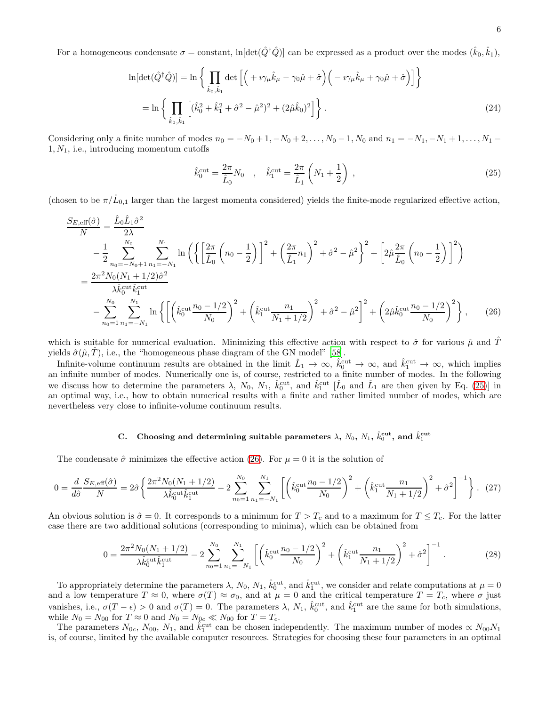For a homogeneous condensate  $\sigma =$  constant,  $\ln[\det(\hat{Q}^\dagger \hat{Q})]$  can be expressed as a product over the modes  $(\hat{k}_0, \hat{k}_1)$ ,

$$
\ln[\det(\hat{Q}^{\dagger}\hat{Q})] = \ln\left\{\prod_{\hat{k}_0,\hat{k}_1} \det\left[\left(+i\gamma_{\mu}\hat{k}_{\mu} - \gamma_0\hat{\mu} + \hat{\sigma}\right)\left(-i\gamma_{\mu}\hat{k}_{\mu} + \gamma_0\hat{\mu} + \hat{\sigma}\right)\right]\right\}
$$
  
= 
$$
\ln\left\{\prod_{\hat{k}_0,\hat{k}_1} \left[(\hat{k}_0^2 + \hat{k}_1^2 + \hat{\sigma}^2 - \hat{\mu}^2)^2 + (2\hat{\mu}\hat{k}_0)^2\right]\right\}.
$$
 (24)

Considering only a finite number of modes  $n_0 = -N_0 + 1, -N_0 + 2, \ldots, N_0 - 1, N_0$  and  $n_1 = -N_1, -N_1 + 1, \ldots, N_1 - 1$  $1, N_1$ , i.e., introducing momentum cutoffs

<span id="page-5-3"></span><span id="page-5-1"></span><span id="page-5-0"></span>
$$
\hat{k}_0^{\text{cut}} = \frac{2\pi}{\hat{L}_0} N_0 \quad , \quad \hat{k}_1^{\text{cut}} = \frac{2\pi}{\hat{L}_1} \left( N_1 + \frac{1}{2} \right) \,, \tag{25}
$$

(chosen to be  $\pi/\hat{L}_{0,1}$  larger than the largest momenta considered) yields the finite-mode regularized effective action,

$$
\frac{S_{E,\text{eff}}(\hat{\sigma})}{N} = \frac{\hat{L}_0 \hat{L}_1 \hat{\sigma}^2}{2\lambda} \n- \frac{1}{2} \sum_{n_0 = -N_0 + 1}^{N_0} \sum_{n_1 = -N_1}^{N_1} \ln \left( \left\{ \left[ \frac{2\pi}{\hat{L}_0} \left( n_0 - \frac{1}{2} \right) \right]^2 + \left( \frac{2\pi}{\hat{L}_1} n_1 \right)^2 + \hat{\sigma}^2 - \hat{\mu}^2 \right\}^2 + \left[ 2\hat{\mu} \frac{2\pi}{\hat{L}_0} \left( n_0 - \frac{1}{2} \right) \right]^2 \right) \n= \frac{2\pi^2 N_0 (N_1 + 1/2) \hat{\sigma}^2}{\lambda \hat{k}_0^{\text{cut}} \hat{k}_1^{\text{cut}}} \n- \sum_{n_0 = 1}^{N_0} \sum_{n_1 = -N_1}^{N_1} \ln \left\{ \left[ \left( \hat{k}_0^{\text{cut}} \frac{n_0 - 1/2}{N_0} \right)^2 + \left( \hat{k}_1^{\text{cut}} \frac{n_1}{N_1 + 1/2} \right)^2 + \hat{\sigma}^2 - \hat{\mu}^2 \right]^2 + \left( 2\hat{\mu} \hat{k}_0^{\text{cut}} \frac{n_0 - 1/2}{N_0} \right)^2 \right\},
$$
\n(26)

which is suitable for numerical evaluation. Minimizing this effective action with respect to  $\hat{\sigma}$  for various  $\hat{\mu}$  and  $\hat{T}$ yields  $\hat{\sigma}(\hat{\mu}, \hat{T})$ , i.e., the "homogeneous phase diagram of the GN model" [\[58](#page-18-21)].

Infinite-volume continuum results are obtained in the limit  $\hat{L}_1 \to \infty$ ,  $\hat{k}_0^{\text{cut}} \to \infty$ , and  $\hat{k}_1^{\text{cut}} \to \infty$ , which implies an infinite number of modes. Numerically one is, of course, restricted to a finite number of modes. In the following we discuss how to determine the parameters  $\lambda$ ,  $N_0$ ,  $N_1$ ,  $\hat{k}_0^{\text{cut}}$ , and  $\hat{k}_1^{\text{cut}}$  [ $\hat{L}_0$  and  $\hat{L}_1$  are then given by Eq. [\(25\)](#page-5-0)] in an optimal way, i.e., how to obtain numerical results with a finite and rather limited number of modes, which are nevertheless very close to infinite-volume continuum results.

# C. Choosing and determining suitable parameters  $\lambda$ ,  $N_0$ ,  $N_1$ ,  $\hat{k}_0^{\text{cut}}$ , and  $\hat{k}_1^{\text{cut}}$

The condensate  $\hat{\sigma}$  minimizes the effective action [\(26\)](#page-5-1). For  $\mu = 0$  it is the solution of

$$
0 = \frac{d}{d\hat{\sigma}} \frac{S_{E,\text{eff}}(\hat{\sigma})}{N} = 2\hat{\sigma} \left\{ \frac{2\pi^2 N_0 (N_1 + 1/2)}{\lambda \hat{k}_0^{\text{cut}} \hat{k}_1^{\text{cut}}} - 2 \sum_{n_0=1}^{N_0} \sum_{n_1=-N_1}^{N_1} \left[ \left( \hat{k}_0^{\text{cut}} \frac{n_0 - 1/2}{N_0} \right)^2 + \left( \hat{k}_1^{\text{cut}} \frac{n_1}{N_1 + 1/2} \right)^2 + \hat{\sigma}^2 \right]^{-1} \right\}. \tag{27}
$$

An obvious solution is  $\hat{\sigma} = 0$ . It corresponds to a minimum for  $T > T_c$  and to a maximum for  $T \leq T_c$ . For the latter case there are two additional solutions (corresponding to minima), which can be obtained from

<span id="page-5-2"></span>
$$
0 = \frac{2\pi^2 N_0 (N_1 + 1/2)}{\lambda \hat{k}_0^{\text{cut}} \hat{k}_1^{\text{cut}}} - 2 \sum_{n_0=1}^{N_0} \sum_{n_1=-N_1}^{N_1} \left[ \left( \hat{k}_0^{\text{cut}} \frac{n_0 - 1/2}{N_0} \right)^2 + \left( \hat{k}_1^{\text{cut}} \frac{n_1}{N_1 + 1/2} \right)^2 + \hat{\sigma}^2 \right]^{-1} . \tag{28}
$$

To appropriately determine the parameters  $\lambda$ ,  $N_0$ ,  $N_1$ ,  $\hat{k}_0^{\text{cut}}$ , and  $\hat{k}_1^{\text{cut}}$ , we consider and relate computations at  $\mu = 0$ and a low temperature  $T \approx 0$ , where  $\sigma(T) \approx \sigma_0$ , and at  $\mu = 0$  and the critical temperature  $T = T_c$ , where  $\sigma$  just vanishes, i.e.,  $\sigma(T-\epsilon) > 0$  and  $\sigma(T) = 0$ . The parameters  $\lambda$ ,  $N_1$ ,  $\hat{k}_0^{\text{cut}}$ , and  $\hat{k}_1^{\text{cut}}$  are the same for both simulations, while  $N_0 = N_{00}$  for  $T \approx 0$  and  $N_0 = N_{0c} \ll N_{00}$  for  $T = T_c$ .

The parameters  $N_{0c}$ ,  $N_{00}$ ,  $N_1$ , and  $\hat{k}_1^{\text{cut}}$  can be chosen independently. The maximum number of modes  $\propto N_{00}N_1$ is, of course, limited by the available computer resources. Strategies for choosing these four parameters in an optimal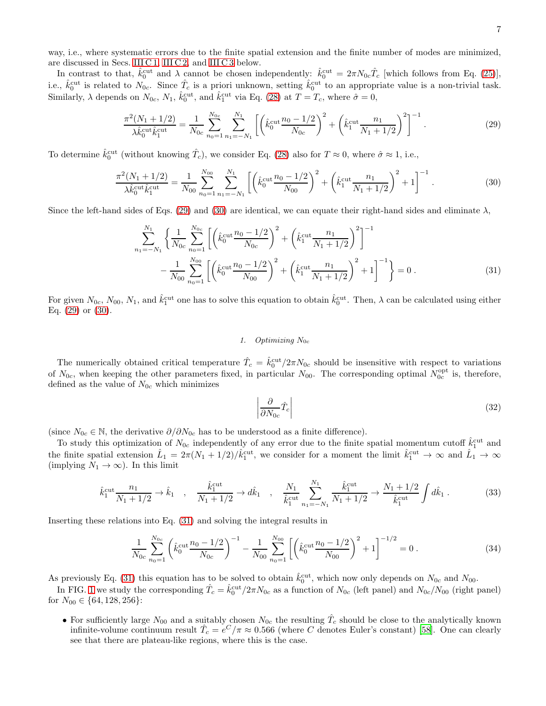way, i.e., where systematic errors due to the finite spatial extension and the finite number of modes are minimized, are discussed in Secs. [III C 1,](#page-6-0) [III C 2,](#page-7-0) and [III C 3](#page-9-0) below.

In contrast to that,  $\hat{k}_0^{\text{cut}}$  and  $\lambda$  cannot be chosen independently:  $\hat{k}_0^{\text{cut}} = 2\pi N_0 c \hat{T}_c$  [which follows from Eq. [\(25\)](#page-5-0)], i.e.,  $\hat{k}_0^{\text{cut}}$  is related to  $N_{0c}$ . Since  $\hat{T}_c$  is a priori unknown, setting  $\hat{k}_0^{\text{cut}}$  to an appropriate value is a non-trivial task. Similarly,  $\lambda$  depends on  $N_{0c}$ ,  $N_1$ ,  $\hat{k}_0^{\text{cut}}$ , and  $\hat{k}_1^{\text{cut}}$  via Eq. [\(28\)](#page-5-2) at  $T = T_c$ , where  $\hat{\sigma} = 0$ ,

<span id="page-6-1"></span>
$$
\frac{\pi^2 (N_1 + 1/2)}{\lambda \hat{k}_0^{\text{cut}} \hat{k}_1^{\text{cut}}} = \frac{1}{N_{0c}} \sum_{n_0=1}^{N_{0c}} \sum_{n_1=-N_1}^{N_1} \left[ \left( \hat{k}_0^{\text{cut}} \frac{n_0 - 1/2}{N_{0c}} \right)^2 + \left( \hat{k}_1^{\text{cut}} \frac{n_1}{N_1 + 1/2} \right)^2 \right]^{-1} . \tag{29}
$$

To determine  $\hat{k}_0^{\text{cut}}$  (without knowing  $\hat{T}_c$ ), we consider Eq. [\(28\)](#page-5-2) also for  $T \approx 0$ , where  $\hat{\sigma} \approx 1$ , i.e.,

<span id="page-6-2"></span>
$$
\frac{\pi^2 (N_1 + 1/2)}{\lambda \hat{k}_0^{\text{cut}} \hat{k}_1^{\text{cut}}} = \frac{1}{N_{00}} \sum_{n_0=1}^{N_{00}} \sum_{n_1=-N_1}^{N_1} \left[ \left( \hat{k}_0^{\text{cut}} \frac{n_0 - 1/2}{N_{00}} \right)^2 + \left( \hat{k}_1^{\text{cut}} \frac{n_1}{N_1 + 1/2} \right)^2 + 1 \right]^{-1} . \tag{30}
$$

Since the left-hand sides of Eqs. [\(29\)](#page-6-1) and [\(30\)](#page-6-2) are identical, we can equate their right-hand sides and eliminate  $\lambda$ ,

$$
\sum_{n_1=-N_1}^{N_1} \left\{ \frac{1}{N_{0c}} \sum_{n_0=1}^{N_{0c}} \left[ \left( \hat{k}_0^{\text{cut}} \frac{n_0 - 1/2}{N_{0c}} \right)^2 + \left( \hat{k}_1^{\text{cut}} \frac{n_1}{N_1 + 1/2} \right)^2 \right]^{-1} - \frac{1}{N_{00}} \sum_{n_0=1}^{N_{00}} \left[ \left( \hat{k}_0^{\text{cut}} \frac{n_0 - 1/2}{N_{00}} \right)^2 + \left( \hat{k}_1^{\text{cut}} \frac{n_1}{N_1 + 1/2} \right)^2 + 1 \right]^{-1} \right\} = 0.
$$
\n(31)

For given  $N_{0c}$ ,  $N_{00}$ ,  $N_1$ , and  $\hat{k}_1^{\text{cut}}$  one has to solve this equation to obtain  $\hat{k}_0^{\text{cut}}$ . Then,  $\lambda$  can be calculated using either Eq.  $(29)$  or  $(30)$ .

#### <span id="page-6-3"></span><span id="page-6-0"></span>1. Optimizing  $N_{0c}$

The numerically obtained critical temperature  $\hat{T}_c = \hat{k}_0^{\text{cut}}/2\pi N_{0c}$  should be insensitive with respect to variations of  $N_{0c}$ , when keeping the other parameters fixed, in particular  $N_{00}$ . The corresponding optimal  $N_{0c}^{\text{opt}}$  is, therefore, defined as the value of  $N_{0c}$  which minimizes

<span id="page-6-5"></span>
$$
\left| \frac{\partial}{\partial N_{0c}} \hat{T}_c \right| \tag{32}
$$

(since  $N_{0c} \in \mathbb{N}$ , the derivative  $\partial/\partial N_{0c}$  has to be understood as a finite difference).

To study this optimization of  $N_{0c}$  independently of any error due to the finite spatial momentum cutoff  $\hat{k}_1^{\text{cut}}$  and the finite spatial extension  $\hat{L}_1 = 2\pi (N_1 + 1/2)/\hat{k}_1^{\text{cut}}$ , we consider for a moment the limit  $\hat{k}_1^{\text{cut}} \to \infty$  and  $\hat{L}_1 \to \infty$ (implying  $N_1 \rightarrow \infty$ ). In this limit

$$
\hat{k}_1^{\text{cut}} \frac{n_1}{N_1 + 1/2} \to \hat{k}_1 \quad , \quad \frac{\hat{k}_1^{\text{cut}}}{N_1 + 1/2} \to d\hat{k}_1 \quad , \quad \frac{N_1}{\hat{k}_1^{\text{cut}}} \sum_{n_1 = -N_1}^{N_1} \frac{\hat{k}_1^{\text{cut}}}{N_1 + 1/2} \to \frac{N_1 + 1/2}{\hat{k}_1^{\text{cut}}} \int d\hat{k}_1 \,. \tag{33}
$$

Inserting these relations into Eq. [\(31\)](#page-6-3) and solving the integral results in

<span id="page-6-4"></span>
$$
\frac{1}{N_{0c}} \sum_{n_0=1}^{N_{0c}} \left( \hat{k}_0^{\text{cut}} \frac{n_0 - 1/2}{N_{0c}} \right)^{-1} - \frac{1}{N_{00}} \sum_{n_0=1}^{N_{00}} \left[ \left( \hat{k}_0^{\text{cut}} \frac{n_0 - 1/2}{N_{00}} \right)^2 + 1 \right]^{-1/2} = 0 \tag{34}
$$

As previously Eq. [\(31\)](#page-6-3) this equation has to be solved to obtain  $\hat{k}_0^{\text{cut}}$ , which now only depends on  $N_{0c}$  and  $N_{00}$ .

In FIG. [1](#page-7-1) we study the corresponding  $\hat{T}_c = \hat{k}_0^{\text{cut}}/2\pi N_{0c}$  as a function of  $N_{0c}$  (left panel) and  $N_{0c}/N_{00}$  (right panel) for  $N_{00} \in \{64, 128, 256\}$ :

• For sufficiently large  $N_{00}$  and a suitably chosen  $N_{0c}$  the resulting  $\hat{T}_c$  should be close to the analytically known infinite-volume continuum result  $\hat{T}_c = e^C/\pi \approx 0.566$  (where C denotes Euler's constant) [\[58\]](#page-18-21). One can clearly see that there are plateau-like regions, where this is the case.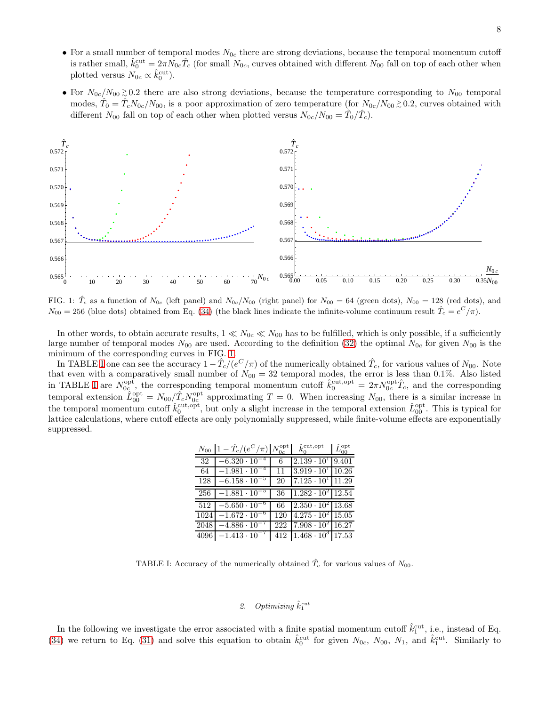- For a small number of temporal modes  $N_{0c}$  there are strong deviations, because the temporal momentum cutoff is rather small,  $\hat{k}_0^{\text{cut}} = 2\pi N_{0c} \hat{T}_c$  (for small  $N_{0c}$ , curves obtained with different  $N_{00}$  fall on top of each other when plotted versus  $N_{0c} \propto \hat{k}_0^{\text{cut}}$ .
- For  $N_{0c}/N_{00} \gtrsim 0.2$  there are also strong deviations, because the temperature corresponding to  $N_{00}$  temporal modes,  $\hat{T}_0 = \hat{T}_c N_{0c}/N_{00}$ , is a poor approximation of zero temperature (for  $N_{0c}/N_{00} \gtrsim 0.2$ , curves obtained with different  $N_{00}$  fall on top of each other when plotted versus  $N_{0c}/N_{00} = \hat{T}_0/\hat{T}_c$ .



<span id="page-7-1"></span>FIG. 1:  $\hat{T}_c$  as a function of  $N_{0c}$  (left panel) and  $N_{0c}/N_{00}$  (right panel) for  $N_{00} = 64$  (green dots),  $N_{00} = 128$  (red dots), and  $N_{00} = 256$  (blue dots) obtained from Eq. [\(34\)](#page-6-4) (the black lines indicate the infinite-volume continuum result  $\hat{T}_c = e^C/\pi$ ).

In other words, to obtain accurate results,  $1 \ll N_{0c} \ll N_{00}$  has to be fulfilled, which is only possible, if a sufficiently large number of temporal modes  $N_{00}$  are used. According to the definition [\(32\)](#page-6-5) the optimal  $N_{0c}$  for given  $N_{00}$  is the minimum of the corresponding curves in FIG. [1.](#page-7-1)

In TABLE [I](#page-7-2) one can see the accuracy  $1-\hat{T}_c/(e^C/\pi)$  of the numerically obtained  $\hat{T}_c$ , for various values of  $N_{00}$ . Note that even with a comparatively small number of  $N_{00} = 32$  temporal modes, the error is less than 0.1%. Also listed in TABLE [I](#page-7-2) are  $N_{0c}^{\text{opt}}$ , the corresponding temporal momentum cutoff  $\hat{k}_0^{\text{cut,opt}} = 2\pi N_{0c}^{\text{opt}} \hat{T}_c$ , and the corresponding temporal extension  $\hat{L}_{00}^{\text{opt}} = N_{00}/\hat{T}_c N_{0c}^{\text{opt}}$  approximating  $T = 0$ . When increasing  $N_{00}$ , there is a similar increase in the temporal momentum cutoff  $\hat{k}_0^{\text{cut,opt}}$ , but only a slight increase in the temporal extension  $\hat{L}_{00}^{\text{opt}}$ . This is typical for lattice calculations, where cutoff effects are only polynomially suppressed, while finite-volume effects are exponentially suppressed.

| $N_{00}$ | $1-\hat{T}_c/(e^C/\pi)\,N_{0c}^{\rm opt}$ |     | $\hat{k}_0^{\text{cut}, \text{opt}}$ | $\hat L_{00}^{\mathrm{opt}}$ |
|----------|-------------------------------------------|-----|--------------------------------------|------------------------------|
| 32       | $-6.320 \cdot 10^{-7}$                    | 6   | $2.139 \cdot 10^{1}$                 | 9.401                        |
| 64       | $-1.981 \cdot 10^{-4}$                    | 11  | $3.919 \cdot 10^{1}$ 10.26           |                              |
| 128      | $-6.158 \cdot 10^{-5}$                    | 20  | $7.125 \cdot 10^{1}$ 11.29           |                              |
| 256      | $-1.881 \cdot 10^{-5}$                    | 36  | $1.282 \cdot 10^2$ 12.54             |                              |
| 512      | $-5.650 \cdot 10^{-6}$                    | 66  | $2.350 \cdot 10^{2}$ 13.68           |                              |
| 1024     | $-1.672 \cdot 10^{-}$                     | 120 | $14.275 \cdot 10^2$ 15.05            |                              |
| 2048     | $-4.886 \cdot 10^{-7}$                    | 222 | $7.908 \cdot 10^{2}$ 16.27           |                              |
|          | $4096$ $-1.413 \cdot 10^{-7}$             | 412 | $1.468 \cdot 10^3$ 17.53             |                              |

<span id="page-7-2"></span>TABLE I: Accuracy of the numerically obtained  $\hat{T}_c$  for various values of  $N_{00}$ .

# <span id="page-7-0"></span>2. Optimizing  $\hat{k}_1^{cut}$

In the following we investigate the error associated with a finite spatial momentum cutoff  $\hat{k}_1^{\text{cut}}$ , i.e., instead of Eq. [\(34\)](#page-6-4) we return to Eq. [\(31\)](#page-6-3) and solve this equation to obtain  $\hat{k}_0^{\text{cut}}$  for given  $N_{0c}$ ,  $N_{00}$ ,  $N_1$ , and  $\hat{k}_1^{\text{cut}}$ . Similarly to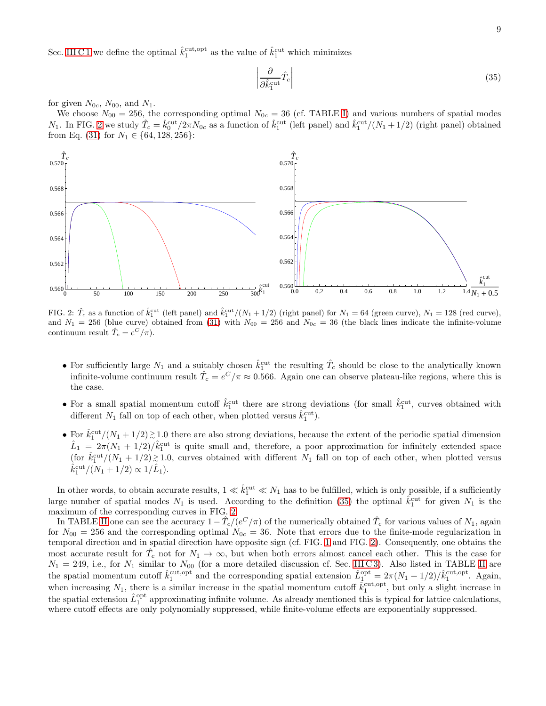Sec. [III C 1](#page-6-0) we define the optimal  $\hat{k}_1^{\text{cut,opt}}$  as the value of  $\hat{k}_1^{\text{cut}}$  which minimizes

<span id="page-8-1"></span>
$$
\left| \frac{\partial}{\partial \hat{k}_1^{\text{cut}}} \hat{T}_c \right| \tag{35}
$$

for given  $N_{0c}$ ,  $N_{00}$ , and  $N_1$ .

We choose  $N_{00} = 256$ , the corresponding optimal  $N_{0c} = 36$  (cf. TABLE [I\)](#page-7-2) and various numbers of spatial modes  $N_1$ . In FIG. [2](#page-8-0) we study  $\hat{T}_c = \hat{k}_0^{\text{cut}}/2\pi N_{0c}$  as a function of  $\hat{k}_1^{\text{cut}}$  (left panel) and  $\hat{k}_1^{\text{cut}}/(N_1+1/2)$  (right panel) obtained from Eq. [\(31\)](#page-6-3) for  $N_1 \in \{64, 128, 256\}$ :



<span id="page-8-0"></span>FIG. 2:  $\hat{T}_c$  as a function of  $\hat{k}_1^{\text{cut}}$  (left panel) and  $\hat{k}_1^{\text{cut}}/(N_1+1/2)$  (right panel) for  $N_1 = 64$  (green curve),  $N_1 = 128$  (red curve), and  $N_1 = 256$  (blue curve) obtained from [\(31\)](#page-6-3) with  $N_{00} = 256$  and  $N_{0c} = 36$  (the black lines indicate the infinite-volume continuum result  $\hat{T}_c = e^C / \pi$ .

- For sufficiently large  $N_1$  and a suitably chosen  $\hat{k}_1^{\text{cut}}$  the resulting  $\hat{T}_c$  should be close to the analytically known infinite-volume continuum result  $\hat{T}_c = e^C/\pi \approx 0.566$ . Again one can observe plateau-like regions, where this is the case.
- For a small spatial momentum cutoff  $\hat{k}_1^{\text{cut}}$  there are strong deviations (for small  $\hat{k}_1^{\text{cut}}$ , curves obtained with different  $N_1$  fall on top of each other, when plotted versus  $\hat{k}_1^{\text{cut}}$ .
- For  $\hat{k}_1^{\text{cut}}/(N_1+1/2) \gtrsim 1.0$  there are also strong deviations, because the extent of the periodic spatial dimension  $\hat{L}_1 = 2\pi (N_1 + 1/2)/\hat{k}_1^{\text{cut}}$  is quite small and, therefore, a poor approximation for infinitely extended space (for  $\hat{k}_1^{\text{cut}}/(N_1+1/2) \gtrsim 1.0$ , curves obtained with different  $N_1$  fall on top of each other, when plotted versus  $\hat{k}_1^{\text{cut}}/(N_1+1/2) \propto 1/\hat{L}_1$ .

In other words, to obtain accurate results,  $1 \ll \hat{k}_1^{\text{cut}} \ll N_1$  has to be fulfilled, which is only possible, if a sufficiently large number of spatial modes  $N_1$  is used. According to the definition [\(35\)](#page-8-1) the optimal  $\hat{k}_1^{\text{cut}}$  for given  $N_1$  is the maximum of the corresponding curves in FIG. [2.](#page-8-0)

In TABLE [II](#page-9-1) one can see the accuracy  $1-\hat{T}_c/(e^C/\pi)$  of the numerically obtained  $\hat{T}_c$  for various values of  $N_1$ , again for  $N_{00} = 256$  and the corresponding optimal  $N_{0c} = 36$ . Note that errors due to the finite-mode regularization in temporal direction and in spatial direction have opposite sign (cf. FIG. [1](#page-7-1) and FIG. [2\)](#page-8-0). Consequently, one obtains the most accurate result for  $\hat{T}_c$  not for  $N_1 \to \infty$ , but when both errors almost cancel each other. This is the case for  $N_1 = 249$ , i.e., for  $N_1$  similar to  $N_{00}$  (for a more detailed discussion cf. Sec. [II](#page-9-1)I C3). Also listed in TABLE II are the spatial momentum cutoff  $\hat{k}_1^{\text{cut,opt}}$  and the corresponding spatial extension  $\hat{L}_1^{\text{opt}} = 2\pi (N_1 + 1/2)/\hat{k}_1^{\text{cut,opt}}$ . Again, when increasing  $N_1$ , there is a similar increase in the spatial momentum cutoff  $\hat{k}_1^{\text{cut,opt}}$ , but only a slight increase in the spatial extension  $\hat{L}_1^{\text{opt}}$  approximating infinite volume. As already mentioned this is typical for lattice calculations, where cutoff effects are only polynomially suppressed, while finite-volume effects are exponentially suppressed.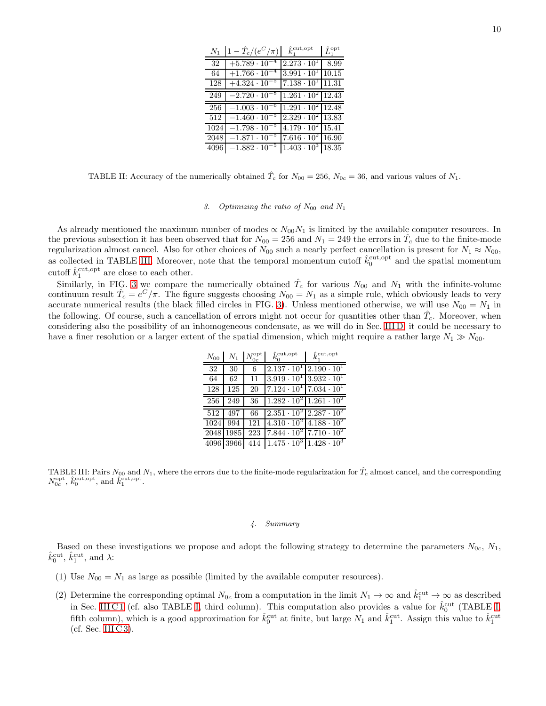| $N_1$ | $1 - \hat{T}_c/(e^C/\pi)$ | $\hat{k}_1^{\text{cut}, \text{opt}}$ | $\hat{L}_1^{\mathrm{opt}}$ |
|-------|---------------------------|--------------------------------------|----------------------------|
| 32    | $+5.789 \cdot 10$         | $2.273 \cdot 10^{1}$                 | 8.99                       |
| 64    | $+1.766 \cdot 10$         | $3.991 \cdot 10^{1}$                 | 10.15                      |
| 128   | $+4.324 \cdot 10$         | $7.138 \cdot 10^{1}$                 | 11.31                      |
| 249   | $-2.720 \cdot 10^{-8}$    | $1.261 \cdot 10^{2}$                 | 12.43                      |
| 256   | $-1.003 \cdot 10$         | $1.291 \cdot 10^2$ 12.48             |                            |
| 512   | $-1.460 \cdot 10^{-}$     | $2.329 \cdot 10^{2}$ 13.83           |                            |
| 1024  | $-1.798 \cdot 10^{-7}$    | $4.179 \cdot 10^{2}$ 15.41           |                            |
| 2048  | $-1.871 \cdot 10^{-5}$    | $7.616 \cdot 10^{2}$ 16.90           |                            |
| 4096  | $-1.882 \cdot 10^{-7}$    | $1.403 \cdot 10^3$ 18.35             |                            |

<span id="page-9-1"></span>TABLE II: Accuracy of the numerically obtained  $\hat{T}_c$  for  $N_{00} = 256$ ,  $N_{0c} = 36$ , and various values of  $N_1$ .

# <span id="page-9-0"></span>3. Optimizing the ratio of  $N_{00}$  and  $N_1$

As already mentioned the maximum number of modes  $\propto N_{00}N_1$  is limited by the available computer resources. In the previous subsection it has been observed that for  $N_{00} = 256$  and  $N_1 = 249$  the errors in  $\hat{T}_c$  due to the finite-mode regularization almost cancel. Also for other choices of  $N_{00}$  such a nearly perfect cancellation is present for  $N_1 \approx N_{00}$ , as collected in TABLE [III.](#page-9-2) Moreover, note that the temporal momentum cutoff  $\hat{k}_0^{\text{cut,opt}}$  and the spatial momentum cutoff  $\hat{k}_1^{\text{cut}, \text{opt}}$  are close to each other.

Similarly, in FIG. [3](#page-10-0) we compare the numerically obtained  $\hat{T}_c$  for various  $N_{00}$  and  $N_1$  with the infinite-volume continuum result  $\hat{T}_c = e^C/\pi$ . The figure suggests choosing  $N_{00} = N_1$  as a simple rule, which obviously leads to very accurate numerical results (the black filled circles in FIG. [3\)](#page-10-0). Unless mentioned otherwise, we will use  $N_{00} = N_1$  in the following. Of course, such a cancellation of errors might not occur for quantities other than  $\hat{T}_c$ . Moreover, when considering also the possibility of an inhomogeneous condensate, as we will do in Sec. [III D,](#page-10-1) it could be necessary to have a finer resolution or a larger extent of the spatial dimension, which might require a rather large  $N_1 \gg N_{00}$ .

| $N_{00}$ |           | $N_1$ $N_{0c}^{\text{opt}}$ | $\hat{k}_0^{\text{cut}, \text{opt}}$ | $\hat{k}_{\scriptscriptstyle{\text{T}}}^{\text{cut,opt}}$ |
|----------|-----------|-----------------------------|--------------------------------------|-----------------------------------------------------------|
| 32       | 30        | 6                           | $2.137 \cdot 10^{1}$                 | $2.190 \cdot 10^{1}$                                      |
| 64       | 62        | 11                          |                                      | $3.919 \cdot 10^{1}$ $3.932 \cdot 10^{1}$                 |
| 128      | 125       | 20                          |                                      | $7.124 \cdot 10^{1}$ $7.034 \cdot 10^{1}$                 |
| 256      | 249       | 36                          |                                      | $1.282 \cdot 10^2$ 1.261 $\cdot 10^2$                     |
| 512      | 497       | 66                          |                                      | $2.351 \cdot 10^2$ $2.287 \cdot 10^2$                     |
| 1024     | 994       | 121                         |                                      | $4.310 \cdot 10^{2}$ $4.188 \cdot 10^{2}$                 |
|          | 2048 1985 | 223                         |                                      | $7.844 \cdot 10^{2}$ 7.710 $\cdot 10^{2}$                 |
|          | 4096 3966 | 414                         |                                      | $1.475 \cdot 10^3 \mid 1.428 \cdot 10^3$                  |

<span id="page-9-2"></span>TABLE III: Pairs  $N_{00}$  and  $N_1$ , where the errors due to the finite-mode regularization for  $\hat{T}_c$  almost cancel, and the corresponding  $N_{0c}^{\text{opt}}, \hat{k}_0^{\text{cut,opt}}, \text{and } \hat{k}_1^{\text{cut,opt}}.$ 

# 4. Summary

Based on these investigations we propose and adopt the following strategy to determine the parameters  $N_{0c}$ ,  $N_1$ ,  $\hat{k}_0^{\text{cut}}, \hat{k}_1^{\text{cut}}, \text{ and } \lambda$ :

- (1) Use  $N_{00} = N_1$  as large as possible (limited by the available computer resources).
- (2) Determine the corresponding optimal  $N_{0c}$  from a computation in the limit  $N_1 \to \infty$  and  $\hat{k}_1^{\text{cut}} \to \infty$  as described in Sec. [III C 1](#page-6-0) (cf. also TABLE [I,](#page-7-2) third column). This computation also provides a value for  $\hat{k}_0^{\text{cut}}$  (TABLE I, fifth column), which is a good approximation for  $\hat{k}_0^{\text{cut}}$  at finite, but large  $N_1$  and  $\hat{k}_1^{\text{cut}}$ . Assign this value to  $\hat{k}_1^{\text{cut}}$ (cf. Sec. III  $C$ 3).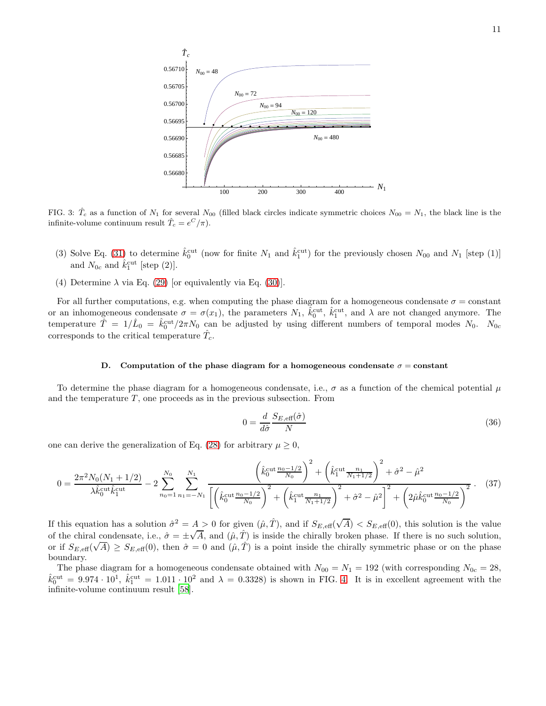

<span id="page-10-0"></span>FIG. 3:  $\hat{T}_c$  as a function of  $N_1$  for several  $N_{00}$  (filled black circles indicate symmetric choices  $N_{00} = N_1$ , the black line is the infinite-volume continuum result  $\hat{T}_c = e^C / \pi$ .

- (3) Solve Eq. [\(31\)](#page-6-3) to determine  $\hat{k}_0^{\text{cut}}$  (now for finite  $N_1$  and  $\hat{k}_1^{\text{cut}}$ ) for the previously chosen  $N_{00}$  and  $N_1$  [step (1)] and  $N_{0c}$  and  $\hat{k}_1^{\text{cut}}$  [step (2)].
- (4) Determine  $\lambda$  via Eq. [\(29\)](#page-6-1) [or equivalently via Eq. [\(30\)](#page-6-2)].

For all further computations, e.g. when computing the phase diagram for a homogeneous condensate  $\sigma = constant$ or an inhomogeneous condensate  $\sigma = \sigma(x_1)$ , the parameters  $N_1$ ,  $\hat{k}_0^{\text{cut}}, \hat{k}_1^{\text{cut}},$  and  $\lambda$  are not changed anymore. The temperature  $\hat{T} = 1/\hat{L}_0 = \hat{k}_0^{\text{cut}}/2\pi N_0$  can be adjusted by using different numbers of temporal modes  $N_0$ .  $N_{0c}$ corresponds to the critical temperature  $\hat{T}_c$ .

#### <span id="page-10-1"></span>D. Computation of the phase diagram for a homogeneous condensate  $\sigma = constant$

To determine the phase diagram for a homogeneous condensate, i.e.,  $\sigma$  as a function of the chemical potential  $\mu$ and the temperature  $T$ , one proceeds as in the previous subsection. From

$$
0 = \frac{d}{d\hat{\sigma}} \frac{S_{E,\text{eff}}(\hat{\sigma})}{N} \tag{36}
$$

one can derive the generalization of Eq. [\(28\)](#page-5-2) for arbitrary  $\mu \geq 0$ ,

$$
0 = \frac{2\pi^2 N_0 (N_1 + 1/2)}{\lambda \hat{k}_0^{\text{cut}} \hat{k}_1^{\text{cut}}} - 2 \sum_{n_0=1}^{N_0} \sum_{n_1=-N_1}^{N_1} \frac{\left(\hat{k}_0^{\text{cut}} \frac{n_0 - 1/2}{N_0}\right)^2 + \left(\hat{k}_1^{\text{cut}} \frac{n_1}{N_1 + 1/2}\right)^2 + \hat{\sigma}^2 - \hat{\mu}^2}{\left[\left(\hat{k}_0^{\text{cut}} \frac{n_0 - 1/2}{N_0}\right)^2 + \left(\hat{k}_1^{\text{cut}} \frac{n_1}{N_1 + 1/2}\right)^2 + \hat{\sigma}^2 - \hat{\mu}^2\right]^2 + \left(2\hat{\mu} \hat{k}_0^{\text{cut}} \frac{n_0 - 1/2}{N_0}\right)^2}.
$$
 (37)

If this equation has a solution  $\hat{\sigma}^2 = A > 0$  for given  $(\hat{\mu}, \hat{T})$ , and if  $S_{E, \text{eff}}(\sqrt{A}) < S_{E, \text{eff}}(0)$ , this solution is the value of the chiral condensate, i.e.,  $\hat{\sigma} = \pm \sqrt{A}$ , and  $(\hat{\mu}, \hat{T})$  is inside the chirally broken phase. If there is no such solution, or if  $S_{E, \text{eff}}(\sqrt{A}) \geq S_{E, \text{eff}}(0)$ , then  $\hat{\sigma} = 0$  and  $(\hat{\mu}, \hat{T})$  is a point inside the chirally symmetric phase or on the phase boundary.

The phase diagram for a homogeneous condensate obtained with  $N_{00} = N_1 = 192$  (with corresponding  $N_{0c} = 28$ ,  $\hat{k}_{0}^{\text{cut}} = 9.974 \cdot 10^{1}$ ,  $\hat{k}_{1}^{\text{cut}} = 1.011 \cdot 10^{2}$  and  $\lambda = 0.3328$ ) is shown in FIG. [4.](#page-11-0) It is in excellent agreement with the infinite-volume continuum result [\[58\]](#page-18-21).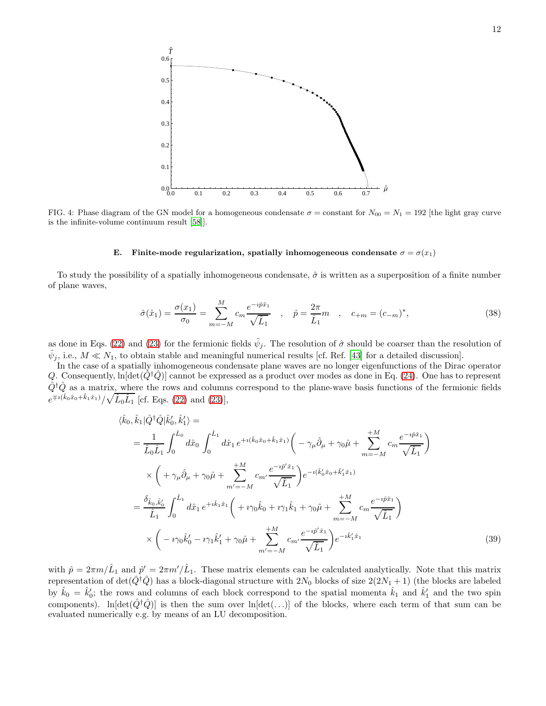

<span id="page-11-0"></span>FIG. 4: Phase diagram of the GN model for a homogeneous condensate  $\sigma =$  constant for  $N_{00} = N_1 = 192$  [the light gray curve is the infinite-volume continuum result [\[58](#page-18-21)]].

## <span id="page-11-2"></span>E. Finite-mode regularization, spatially inhomogeneous condensate  $\sigma = \sigma(x_1)$

To study the possibility of a spatially inhomogeneous condensate,  $\hat{\sigma}$  is written as a superposition of a finite number of plane waves,

<span id="page-11-1"></span>
$$
\hat{\sigma}(\hat{x}_1) = \frac{\sigma(x_1)}{\sigma_0} = \sum_{m=-M}^{M} c_m \frac{e^{-i\hat{p}\hat{x}_1}}{\sqrt{\hat{L}_1}}, \quad \hat{p} = \frac{2\pi}{\hat{L}_1} m, \quad c_{+m} = (c_{-m})^*,
$$
\n(38)

as done in Eqs. [\(22\)](#page-4-0) and [\(23\)](#page-4-1) for the fermionic fields  $\hat{\psi}_j$ . The resolution of  $\hat{\sigma}$  should be coarser than the resolution of  $\hat{\psi}_j$ , i.e.,  $M \ll N_1$ , to obtain stable and meaningful numerical results [cf. Ref. [\[43](#page-18-18)] for a detailed discussion].

In the case of a spatially inhomogeneous condensate plane waves are no longer eigenfunctions of the Dirac operator Q. Consequently,  $\ln[\det(\hat{Q}^{\dagger}\hat{Q})]$  cannot be expressed as a product over modes as done in Eq. [\(24\)](#page-5-3). One has to represent  $\hat{Q}^{\dagger}\hat{Q}$  as a matrix, where the rows and columns correspond to the plane-wave basis functions of the fermionic fields  $e^{\mp i(\hat{k}_0\hat{x}_0 + \hat{k}_1\hat{x}_1)}/\sqrt{\hat{L}_0\hat{L}_1}$  [cf. Eqs. [\(22\)](#page-4-0) and [\(23\)](#page-4-1)],

$$
\langle \hat{k}_{0}, \hat{k}_{1} | \hat{Q}^{\dagger} \hat{Q} | \hat{k}'_{0}, \hat{k}'_{1} \rangle =
$$
\n
$$
= \frac{1}{\hat{L}_{0} \hat{L}_{1}} \int_{0}^{\hat{L}_{0}} d\hat{x}_{0} \int_{0}^{\hat{L}_{1}} d\hat{x}_{1} e^{+i(\hat{k}_{0} \hat{x}_{0} + \hat{k}_{1} \hat{x}_{1})} \left( -\gamma_{\mu} \hat{\partial}_{\mu} + \gamma_{0} \hat{\mu} + \sum_{m=-M}^{+M} c_{m} \frac{e^{-i\hat{p}\hat{x}_{1}}}{\sqrt{\hat{L}_{1}}} \right)
$$
\n
$$
\times \left( +\gamma_{\mu} \hat{\partial}_{\mu} + \gamma_{0} \hat{\mu} + \sum_{m'=-M}^{+M} c_{m'} \frac{e^{-i\hat{p}'\hat{x}_{1}}}{\sqrt{\hat{L}_{1}}} \right) e^{-i(\hat{k}'_{0} \hat{x}_{0} + \hat{k}'_{1} \hat{x}_{1})}
$$
\n
$$
= \frac{\delta_{\hat{k}_{0}, \hat{k}'_{0}}}{\hat{L}_{1}} \int_{0}^{\hat{L}_{1}} d\hat{x}_{1} e^{+i\hat{k}_{1} \hat{x}_{1}} \left( +i\gamma_{0} \hat{k}_{0} + i\gamma_{1} \hat{k}_{1} + \gamma_{0} \hat{\mu} + \sum_{m=-M}^{+M} c_{m} \frac{e^{-i\hat{p}\hat{x}_{1}}}{\sqrt{\hat{L}_{1}}} \right)
$$
\n
$$
\times \left( -i\gamma_{0} \hat{k}'_{0} - i\gamma_{1} \hat{k}'_{1} + \gamma_{0} \hat{\mu} + \sum_{m'=-M}^{+M} c_{m'} \frac{e^{-i\hat{p}'\hat{x}_{1}}}{\sqrt{\hat{L}_{1}}} \right) e^{-i\hat{k}'_{1} \hat{x}_{1}} \qquad (39)
$$

with  $\hat{p} = 2\pi m/\hat{L}_1$  and  $\hat{p}' = 2\pi m'/\hat{L}_1$ . These matrix elements can be calculated analytically. Note that this matrix representation of  $\det(\hat{Q}^{\dagger}\hat{Q})$  has a block-diagonal structure with  $2N_0$  blocks of size  $2(2N_1 + 1)$  (the blocks are labeled by  $\hat{k}_0 = \hat{k}'_0$ ; the rows and columns of each block correspond to the spatial momenta  $\hat{k}_1$  and  $\hat{k}'_1$  and the two spin components). ln $[\det(\hat{Q}^{\dagger}\hat{Q})]$  is then the sum over ln $[\det(\ldots)]$  of the blocks, where each term of that sum can be evaluated numerically e.g. by means of an LU decomposition.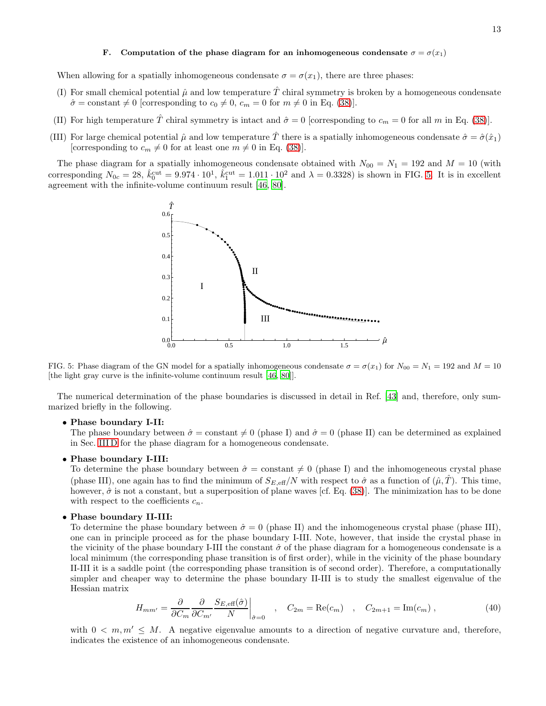# F. Computation of the phase diagram for an inhomogeneous condensate  $\sigma = \sigma(x_1)$

When allowing for a spatially inhomogeneous condensate  $\sigma = \sigma(x_1)$ , there are three phases:

- (I) For small chemical potential  $\hat{\mu}$  and low temperature  $\hat{T}$  chiral symmetry is broken by a homogeneous condensate  $\hat{\sigma} = \text{constant} \neq 0$  [corresponding to  $c_0 \neq 0$ ,  $c_m = 0$  for  $m \neq 0$  in Eq. [\(38\)](#page-11-1)].
- (II) For high temperature  $\hat{T}$  chiral symmetry is intact and  $\hat{\sigma} = 0$  [corresponding to  $c_m = 0$  for all m in Eq. [\(38\)](#page-11-1)].
- (III) For large chemical potential  $\hat{\mu}$  and low temperature  $\hat{T}$  there is a spatially inhomogeneous condensate  $\hat{\sigma} = \hat{\sigma}(\hat{x}_1)$ [corresponding to  $c_m \neq 0$  for at least one  $m \neq 0$  in Eq. [\(38\)](#page-11-1)].

The phase diagram for a spatially inhomogeneous condensate obtained with  $N_{00} = N_1 = 192$  and  $M = 10$  (with corresponding  $N_{0c} = 28$ ,  $\hat{k}_0^{\text{cut}} = 9.974 \cdot 10^1$ ,  $\hat{k}_1^{\text{cut}} = 1.011 \cdot 10^2$  and  $\lambda = 0.3328$ ) is shown in FIG. [5.](#page-12-0) It is in excellent agreement with the infinite-volume continuum result [\[46,](#page-18-9) [80\]](#page-18-37).



<span id="page-12-0"></span>FIG. 5: Phase diagram of the GN model for a spatially inhomogeneous condensate  $\sigma = \sigma(x_1)$  for  $N_{00} = N_1 = 192$  and  $M = 10$ [the light gray curve is the infinite-volume continuum result [\[46,](#page-18-9) [80\]](#page-18-37)].

The numerical determination of the phase boundaries is discussed in detail in Ref. [\[43\]](#page-18-18) and, therefore, only summarized briefly in the following.

# • Phase boundary I-II:

The phase boundary between  $\hat{\sigma} = \text{constant} \neq 0$  (phase I) and  $\hat{\sigma} = 0$  (phase II) can be determined as explained in Sec. [III D](#page-10-1) for the phase diagram for a homogeneous condensate.

# • Phase boundary I-III:

To determine the phase boundary between  $\hat{\sigma} = \text{constant} \neq 0$  (phase I) and the inhomogeneous crystal phase (phase III), one again has to find the minimum of  $S_{E,\text{eff}}/N$  with respect to  $\hat{\sigma}$  as a function of  $(\hat{\mu}, \hat{T})$ . This time, however,  $\hat{\sigma}$  is not a constant, but a superposition of plane waves [cf. Eq. [\(38\)](#page-11-1)]. The minimization has to be done with respect to the coefficients  $c_n$ .

#### • Phase boundary II-III:

To determine the phase boundary between  $\hat{\sigma} = 0$  (phase II) and the inhomogeneous crystal phase (phase III), one can in principle proceed as for the phase boundary I-III. Note, however, that inside the crystal phase in the vicinity of the phase boundary I-III the constant  $\hat{\sigma}$  of the phase diagram for a homogeneous condensate is a local minimum (the corresponding phase transition is of first order), while in the vicinity of the phase boundary II-III it is a saddle point (the corresponding phase transition is of second order). Therefore, a computationally simpler and cheaper way to determine the phase boundary II-III is to study the smallest eigenvalue of the Hessian matrix

$$
H_{mm'} = \frac{\partial}{\partial C_m} \frac{\partial}{\partial C_{m'}} \frac{S_{E,\text{eff}}(\hat{\sigma})}{N} \bigg|_{\hat{\sigma}=0} \quad , \quad C_{2m} = \text{Re}(c_m) \quad , \quad C_{2m+1} = \text{Im}(c_m) \quad , \tag{40}
$$

with  $0 < m, m' \leq M$ . A negative eigenvalue amounts to a direction of negative curvature and, therefore, indicates the existence of an inhomogeneous condensate.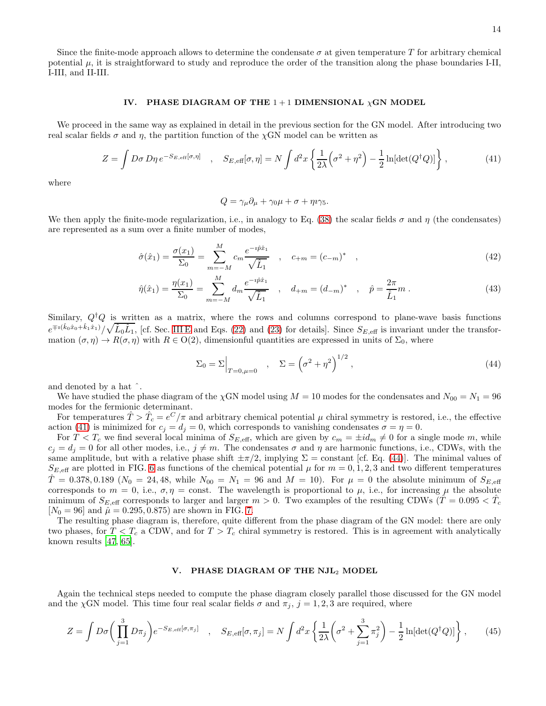Since the finite-mode approach allows to determine the condensate  $\sigma$  at given temperature T for arbitrary chemical potential  $\mu$ , it is straightforward to study and reproduce the order of the transition along the phase boundaries I-II, I-III, and II-III.

#### <span id="page-13-0"></span>IV. PHASE DIAGRAM OF THE  $1+1$  DIMENSIONAL  $\chi$ GN MODEL

We proceed in the same way as explained in detail in the previous section for the GN model. After introducing two real scalar fields  $\sigma$  and  $\eta$ , the partition function of the  $\chi$ GN model can be written as

<span id="page-13-2"></span>
$$
Z = \int D\sigma \, D\eta \, e^{-S_{E,\text{eff}}[\sigma,\eta]} \quad , \quad S_{E,\text{eff}}[\sigma,\eta] = N \int d^2x \left\{ \frac{1}{2\lambda} \left(\sigma^2 + \eta^2\right) - \frac{1}{2} \ln[\det(Q^\dagger Q)] \right\} , \tag{41}
$$

where

<span id="page-13-5"></span><span id="page-13-4"></span>
$$
Q = \gamma_{\mu}\partial_{\mu} + \gamma_0\mu + \sigma + \eta i\gamma_5.
$$

We then apply the finite-mode regularization, i.e., in analogy to Eq. [\(38\)](#page-11-1) the scalar fields  $\sigma$  and  $\eta$  (the condensates) are represented as a sum over a finite number of modes,

$$
\hat{\sigma}(\hat{x}_1) = \frac{\sigma(x_1)}{\Sigma_0} = \sum_{m=-M}^{M} c_m \frac{e^{-i\hat{p}\hat{x}_1}}{\sqrt{\hat{L}_1}}, \quad c_{+m} = (c_{-m})^*, \tag{42}
$$

$$
\hat{\eta}(\hat{x}_1) = \frac{\eta(x_1)}{\Sigma_0} = \sum_{m=-M}^{M} d_m \frac{e^{-i\hat{p}\hat{x}_1}}{\sqrt{\hat{L}_1}} , \quad d_{+m} = (d_{-m})^* , \quad \hat{p} = \frac{2\pi}{\hat{L}_1} m .
$$
\n(43)

Similary,  $Q^{\dagger}Q$  is written as a matrix, where the rows and columns correspond to plane-wave basis functions  $e^{\mp i(\hat{k}_0\hat{x}_0 + \hat{k}_1\hat{x}_1)}/\sqrt{\hat{L}_0\hat{L}_1}$ , [cf. Sec. [III E](#page-11-2) and Eqs. [\(22\)](#page-4-0) and [\(23\)](#page-4-1) for details]. Since  $S_{E,\text{eff}}$  is invariant under the transformation  $(\sigma, \eta) \to R(\sigma, \eta)$  with  $R \in O(2)$ , dimensionful quantities are expressed in units of  $\Sigma_0$ , where

<span id="page-13-3"></span>
$$
\Sigma_0 = \Sigma \Big|_{T=0,\mu=0} \quad , \quad \Sigma = \left(\sigma^2 + \eta^2\right)^{1/2}, \tag{44}
$$

and denoted by a hat ˆ.

We have studied the phase diagram of the  $\chi$ GN model using  $M = 10$  modes for the condensates and  $N_{00} = N_1 = 96$ modes for the fermionic determinant.

For temperatures  $\hat{T} > \hat{T}_c = e^C/\pi$  and arbitrary chemical potential  $\mu$  chiral symmetry is restored, i.e., the effective action [\(41\)](#page-13-2) is minimized for  $c_j = d_j = 0$ , which corresponds to vanishing condensates  $\sigma = \eta = 0$ .

For  $T < T_c$  we find several local minima of  $S_{E,\text{eff}}$ , which are given by  $c_m = \pm id_m \neq 0$  for a single mode m, while  $c_j = d_j = 0$  for all other modes, i.e.,  $j \neq m$ . The condensates  $\sigma$  and  $\eta$  are harmonic functions, i.e., CDWs, with the same amplitude, but with a relative phase shift  $\pm \pi/2$ , implying  $\Sigma = \text{constant}$  [cf. Eq. [\(44\)](#page-13-3)]. The minimal values of  $S_{E,\text{eff}}$  are plotted in FIG. [6](#page-14-0) as functions of the chemical potential  $\mu$  for  $m = 0, 1, 2, 3$  and two different temperatures  $\hat{T} = 0.378, 0.189 \ (N_0 = 24, 48, \text{ while } N_{00} = N_1 = 96 \text{ and } M = 10).$  For  $\mu = 0$  the absolute minimum of  $S_{E,\text{eff}}$ corresponds to  $m = 0$ , i.e.,  $\sigma, \eta$  = const. The wavelength is proportional to  $\mu$ , i.e., for increasing  $\mu$  the absolute minimum of  $S_{E, \text{eff}}$  corresponds to larger and larger  $m > 0$ . Two examples of the resulting CDWs  $(\hat{T} = 0.095 < \hat{T}_c$  $[N_0 = 96]$  and  $\hat{\mu} = 0.295, 0.875$  are shown in FIG. [7.](#page-14-1)

The resulting phase diagram is, therefore, quite different from the phase diagram of the GN model: there are only two phases, for  $T < T_c$  a CDW, and for  $T > T_c$  chiral symmetry is restored. This is in agreement with analytically known results [\[47,](#page-18-11) [65](#page-18-26)].

#### <span id="page-13-1"></span>V. PHASE DIAGRAM OF THE NJL<sup>2</sup> MODEL

Again the technical steps needed to compute the phase diagram closely parallel those discussed for the GN model and the  $\chi$ GN model. This time four real scalar fields  $\sigma$  and  $\pi_j$ ,  $j = 1, 2, 3$  are required, where

$$
Z = \int D\sigma \left(\prod_{j=1}^3 D\pi_j\right) e^{-S_{E,\text{eff}}[\sigma,\pi_j]} \quad , \quad S_{E,\text{eff}}[\sigma,\pi_j] = N \int d^2x \left\{\frac{1}{2\lambda} \left(\sigma^2 + \sum_{j=1}^3 \pi_j^2\right) - \frac{1}{2} \ln[\det(Q^\dagger Q)]\right\} ,\tag{45}
$$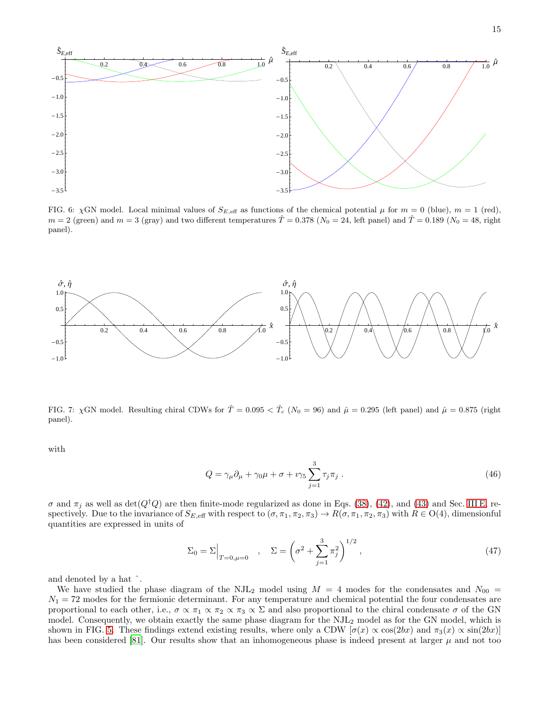

<span id="page-14-0"></span>FIG. 6:  $\chi$ GN model. Local minimal values of  $S_{E,\text{eff}}$  as functions of the chemical potential  $\mu$  for  $m = 0$  (blue),  $m = 1$  (red),  $m = 2$  (green) and  $m = 3$  (gray) and two different temperatures  $\hat{T} = 0.378$  ( $N_0 = 24$ , left panel) and  $\hat{T} = 0.189$  ( $N_0 = 48$ , right panel).



<span id="page-14-1"></span>FIG. 7:  $\chi$ GN model. Resulting chiral CDWs for  $\hat{T} = 0.095 < \hat{T}_c$  (N<sub>0</sub> = 96) and  $\hat{\mu} = 0.295$  (left panel) and  $\hat{\mu} = 0.875$  (right panel).

with

$$
Q = \gamma_{\mu}\partial_{\mu} + \gamma_0\mu + \sigma + i\gamma_5 \sum_{j=1}^{3} \tau_j \pi_j . \qquad (46)
$$

 $\sigma$  and  $\pi_j$  as well as det( $Q^{\dagger}Q$ ) are then finite-mode regularized as done in Eqs. [\(38\)](#page-11-1), [\(42\)](#page-13-4), and [\(43\)](#page-13-5) and Sec. [III E,](#page-11-2) respectively. Due to the invariance of  $S_{E,\text{eff}}$  with respect to  $(\sigma,\pi_1,\pi_2,\pi_3)\to R(\sigma,\pi_1,\pi_2,\pi_3)$  with  $R\in O(4)$ , dimensionful quantities are expressed in units of

$$
\Sigma_0 = \Sigma \Big|_{T=0,\mu=0} \quad , \quad \Sigma = \left(\sigma^2 + \sum_{j=1}^3 \pi_j^2\right)^{1/2}, \tag{47}
$$

and denoted by a hat ˆ.

We have studied the phase diagram of the NJL<sub>2</sub> model using  $M = 4$  modes for the condensates and  $N_{00}$  $N_1 = 72$  modes for the fermionic determinant. For any temperature and chemical potential the four condensates are proportional to each other, i.e.,  $\sigma \propto \pi_1 \propto \pi_2 \propto \pi_3 \propto \Sigma$  and also proportional to the chiral condensate  $\sigma$  of the GN model. Consequently, we obtain exactly the same phase diagram for the NJL<sup>2</sup> model as for the GN model, which is shown in FIG. [5.](#page-12-0) These findings extend existing results, where only a CDW  $[\sigma(x) \propto \cos(2bx)]$  and  $\pi_3(x) \propto \sin(2bx)]$ has been considered [\[81](#page-19-1)]. Our results show that an inhomogeneous phase is indeed present at larger  $\mu$  and not too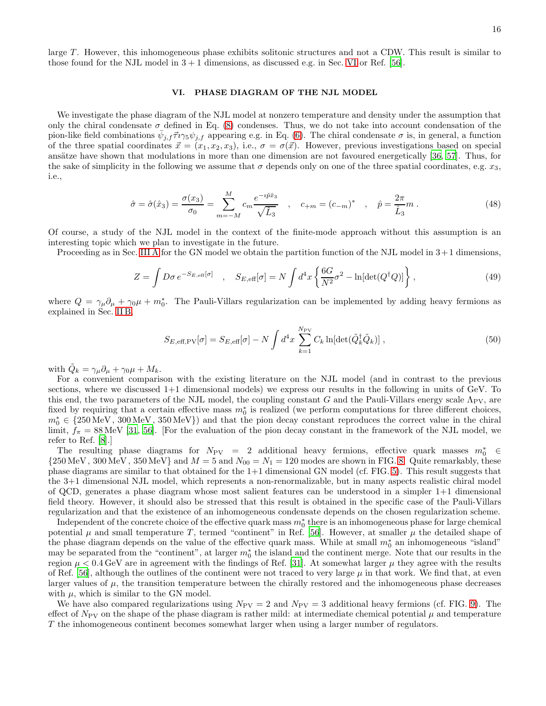large T. However, this inhomogeneous phase exhibits solitonic structures and not a CDW. This result is similar to those found for the NJL model in  $3 + 1$  dimensions, as discussed e.g. in Sec. [VI](#page-15-0) or Ref. [\[56](#page-18-19)].

#### <span id="page-15-0"></span>VI. PHASE DIAGRAM OF THE NJL MODEL

We investigate the phase diagram of the NJL model at nonzero temperature and density under the assumption that only the chiral condensate  $\sigma$  defined in Eq. [\(8\)](#page-2-5) condenses. Thus, we do not take into account condensation of the pion-like field combinations  $\bar{\psi}_{j,f} \vec{\tau} i\gamma_5 \psi_{j,f}$  appearing e.g. in Eq. [\(6\)](#page-2-2). The chiral condensate  $\sigma$  is, in general, a function of the three spatial coordinates  $\vec{x} = (x_1, x_2, x_3)$ , i.e.,  $\sigma = \sigma(\vec{x})$ . However, previous investigations based on special ansätze have shown that modulations in more than one dimension are not favoured energetically [\[36,](#page-18-38) [57](#page-18-20)]. Thus, for the sake of simplicity in the following we assume that  $\sigma$  depends only on one of the three spatial coordinates, e.g.  $x_3$ , i.e.,

$$
\hat{\sigma} = \hat{\sigma}(\hat{x}_3) = \frac{\sigma(x_3)}{\sigma_0} = \sum_{m=-M}^{M} c_m \frac{e^{-i\hat{p}\hat{x}_3}}{\sqrt{\hat{L}_3}}, \quad c_{+m} = (c_{-m})^*, \quad \hat{p} = \frac{2\pi}{\hat{L}_3}m. \tag{48}
$$

Of course, a study of the NJL model in the context of the finite-mode approach without this assumption is an interesting topic which we plan to investigate in the future.

Proceeding as in Sec. [III A](#page-4-2) for the GN model we obtain the partition function of the NJL model in  $3+1$  dimensions,

$$
Z = \int D\sigma \, e^{-S_{E,\text{eff}}[\sigma]} \quad , \quad S_{E,\text{eff}}[\sigma] = N \int d^4x \left\{ \frac{6G}{N^2} \sigma^2 - \ln[\det(Q^\dagger Q)] \right\} , \tag{49}
$$

where  $Q = \gamma_{\mu}\partial_{\mu} + \gamma_{0}\mu + m_{0}^{*}$ . The Pauli-Villars regularization can be implemented by adding heavy fermions as explained in Sec. [II B,](#page-2-6)

$$
S_{E,\text{eff},\text{PV}}[\sigma] = S_{E,\text{eff}}[\sigma] - N \int d^4x \sum_{k=1}^{N_{\text{PV}}} C_k \ln[\det(\tilde{Q}_k^\dagger \tilde{Q}_k)] \,, \tag{50}
$$

with  $\tilde{Q}_k = \gamma_\mu \partial_\mu + \gamma_0 \mu + M_k$ .

For a convenient comparison with the existing literature on the NJL model (and in contrast to the previous sections, where we discussed 1+1 dimensional models) we express our results in the following in units of GeV. To this end, the two parameters of the NJL model, the coupling constant G and the Pauli-Villars energy scale  $\Lambda_{PV}$ , are fixed by requiring that a certain effective mass  $m_0^*$  is realized (we perform computations for three different choices,  $m_0^* \in \{250 \text{ MeV}, 300 \text{ MeV}, 350 \text{ MeV}\}\)$  and that the pion decay constant reproduces the correct value in the chiral limit,  $f_{\pi} = 88 \text{ MeV}$  [\[31](#page-18-6), [56\]](#page-18-19). [For the evaluation of the pion decay constant in the framework of the NJL model, we refer to Ref. [\[8\]](#page-17-9).]

The resulting phase diagrams for  $N_{\text{PV}} = 2$  additional heavy fermions, effective quark masses  $m_0^* \in$  ${250 \,\text{MeV}}$ , 300 MeV, 350 MeV} and  $M = 5$  and  $N_{00} = N_1 = 120$  modes are shown in FIG. [8.](#page-16-1) Quite remarkably, these phase diagrams are similar to that obtained for the 1+1 dimensional GN model (cf. FIG. [5\)](#page-12-0). This result suggests that the 3+1 dimensional NJL model, which represents a non-renormalizable, but in many aspects realistic chiral model of QCD, generates a phase diagram whose most salient features can be understood in a simpler 1+1 dimensional field theory. However, it should also be stressed that this result is obtained in the specific case of the Pauli-Villars regularization and that the existence of an inhomogeneous condensate depends on the chosen regularization scheme.

Independent of the concrete choice of the effective quark mass  $m_0^*$  there is an inhomogeneous phase for large chemical potential  $\mu$  and small temperature T, termed "continent" in Ref. [\[56](#page-18-19)]. However, at smaller  $\mu$  the detailed shape of the phase diagram depends on the value of the effective quark mass. While at small  $m_0^*$  an inhomogeneous "island" may be separated from the "continent", at larger  $m_0^*$  the island and the continent merge. Note that our results in the region  $\mu < 0.4$  GeV are in agreement with the findings of Ref. [\[31\]](#page-18-6). At somewhat larger  $\mu$  they agree with the results of Ref. [\[56](#page-18-19)], although the outlines of the continent were not traced to very large  $\mu$  in that work. We find that, at even larger values of  $\mu$ , the transition temperature between the chirally restored and the inhomogeneous phase decreases with  $\mu$ , which is similar to the GN model.

We have also compared regularizations using  $N_{\text{PV}} = 2$  and  $N_{\text{PV}} = 3$  additional heavy fermions (cf. FIG. [9\)](#page-16-2). The effect of  $N_{\rm PV}$  on the shape of the phase diagram is rather mild: at intermediate chemical potential  $\mu$  and temperature T the inhomogeneous continent becomes somewhat larger when using a larger number of regulators.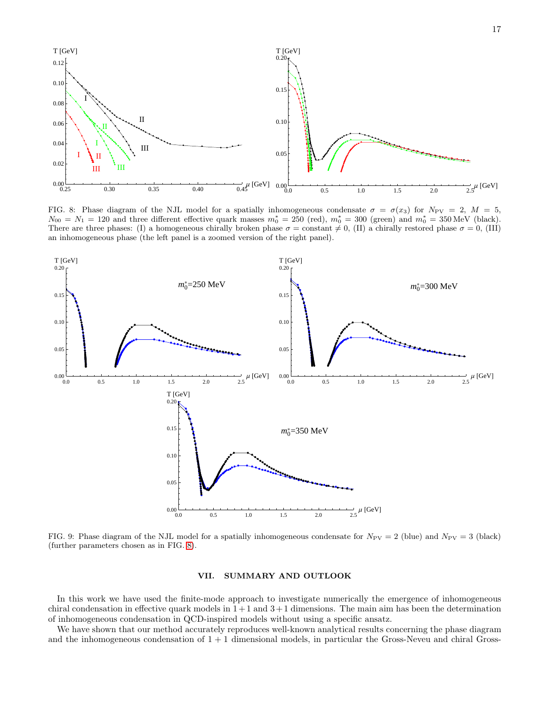

<span id="page-16-1"></span>FIG. 8: Phase diagram of the NJL model for a spatially inhomogeneous condensate  $\sigma = \sigma(x_3)$  for  $N_{PV} = 2$ ,  $M = 5$ ,  $N_{00} = N_1 = 120$  and three different effective quark masses  $m_0^* = 250$  (red),  $m_0^* = 300$  (green) and  $m_0^* = 350$  MeV (black). There are three phases: (I) a homogeneous chirally broken phase  $\sigma = \text{constant} \neq 0$ , (II) a chirally restored phase  $\sigma = 0$ , (III) an inhomogeneous phase (the left panel is a zoomed version of the right panel).



<span id="page-16-2"></span>FIG. 9: Phase diagram of the NJL model for a spatially inhomogeneous condensate for  $N_{PV} = 2$  (blue) and  $N_{PV} = 3$  (black) (further parameters chosen as in FIG. [8\)](#page-16-1).

#### <span id="page-16-0"></span>VII. SUMMARY AND OUTLOOK

In this work we have used the finite-mode approach to investigate numerically the emergence of inhomogeneous chiral condensation in effective quark models in  $1+1$  and  $3+1$  dimensions. The main aim has been the determination of inhomogeneous condensation in QCD-inspired models without using a specific ansatz.

We have shown that our method accurately reproduces well-known analytical results concerning the phase diagram and the inhomogeneous condensation of  $1 + 1$  dimensional models, in particular the Gross-Neveu and chiral Gross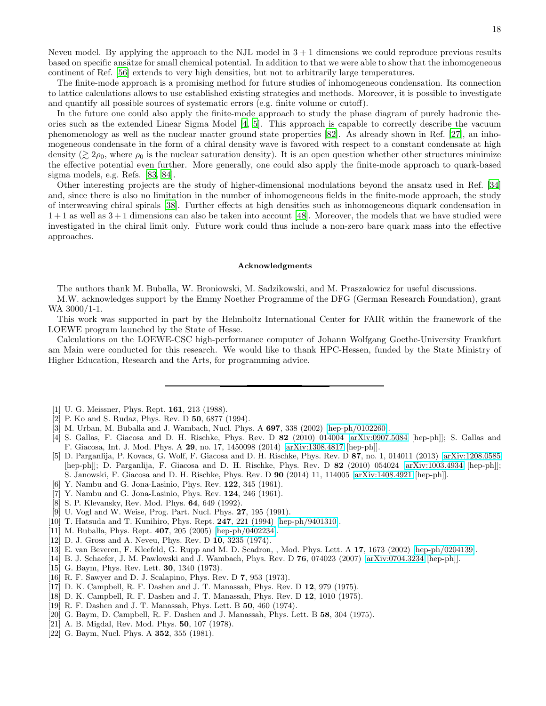Neveu model. By applying the approach to the NJL model in  $3 + 1$  dimensions we could reproduce previous results based on specific ansätze for small chemical potential. In addition to that we were able to show that the inhomogeneous continent of Ref. [\[56\]](#page-18-19) extends to very high densities, but not to arbitrarily large temperatures.

The finite-mode approach is a promising method for future studies of inhomogeneous condensation. Its connection to lattice calculations allows to use established existing strategies and methods. Moreover, it is possible to investigate and quantify all possible sources of systematic errors (e.g. finite volume or cutoff).

In the future one could also apply the finite-mode approach to study the phase diagram of purely hadronic theories such as the extended Linear Sigma Model [\[4](#page-17-8), [5](#page-17-1)]. This approach is capable to correctly describe the vacuum phenomenology as well as the nuclear matter ground state properties [\[82\]](#page-19-2). As already shown in Ref. [\[27](#page-18-1)], an inhomogeneous condensate in the form of a chiral density wave is favored with respect to a constant condensate at high density  $(\gtrsim 2\rho_0$ , where  $\rho_0$  is the nuclear saturation density). It is an open question whether other structures minimize the effective potential even further. More generally, one could also apply the finite-mode approach to quark-based sigma models, e.g. Refs. [\[83,](#page-19-3) [84\]](#page-19-4).

Other interesting projects are the study of higher-dimensional modulations beyond the ansatz used in Ref. [\[34](#page-18-7)] and, since there is also no limitation in the number of inhomogeneous fields in the finite-mode approach, the study of interweaving chiral spirals [\[38\]](#page-18-39). Further effects at high densities such as inhomogeneous diquark condensation in  $1+1$  as well as  $3+1$  dimensions can also be taken into account [\[48](#page-18-40)]. Moreover, the models that we have studied were investigated in the chiral limit only. Future work could thus include a non-zero bare quark mass into the effective approaches.

#### Acknowledgments

The authors thank M. Buballa, W. Broniowski, M. Sadzikowski, and M. Praszalowicz for useful discussions.

M.W. acknowledges support by the Emmy Noether Programme of the DFG (German Research Foundation), grant WA 3000/1-1.

This work was supported in part by the Helmholtz International Center for FAIR within the framework of the LOEWE program launched by the State of Hesse.

Calculations on the LOEWE-CSC high-performance computer of Johann Wolfgang Goethe-University Frankfurt am Main were conducted for this research. We would like to thank HPC-Hessen, funded by the State Ministry of Higher Education, Research and the Arts, for programming advice.

- <span id="page-17-0"></span>[1] U. G. Meissner, Phys. Rept. 161, 213 (1988).
- [2] P. Ko and S. Rudaz, Phys. Rev. D 50, 6877 (1994).
- [3] M. Urban, M. Buballa and J. Wambach, Nucl. Phys. A 697, 338 (2002) [\[hep-ph/0102260\]](http://arxiv.org/abs/hep-ph/0102260).
- <span id="page-17-8"></span>[4] S. Gallas, F. Giacosa and D. H. Rischke, Phys. Rev. D 82 (2010) 014004 [\[arXiv:0907.5084](http://arxiv.org/abs/0907.5084) [hep-ph]]; S. Gallas and F. Giacosa, Int. J. Mod. Phys. A 29, no. 17, 1450098 (2014) [\[arXiv:1308.4817](http://arxiv.org/abs/1308.4817) [hep-ph]].
- <span id="page-17-1"></span>[5] D. Parganlija, P. Kovacs, G. Wolf, F. Giacosa and D. H. Rischke, Phys. Rev. D 87, no. 1, 014011 (2013) [\[arXiv:1208.0585](http://arxiv.org/abs/1208.0585) [hep-ph]]; D. Parganlija, F. Giacosa and D. H. Rischke, Phys. Rev. D 82 (2010) 054024 [\[arXiv:1003.4934](http://arxiv.org/abs/1003.4934) [hep-ph]]; S. Janowski, F. Giacosa and D. H. Rischke, Phys. Rev. D 90 (2014) 11, 114005 [\[arXiv:1408.4921](http://arxiv.org/abs/1408.4921) [hep-ph]].
- <span id="page-17-2"></span>[6] Y. Nambu and G. Jona-Lasinio, Phys. Rev. 122, 345 (1961).
- [7] Y. Nambu and G. Jona-Lasinio, Phys. Rev. 124, 246 (1961).
- <span id="page-17-9"></span>[8] S. P. Klevansky, Rev. Mod. Phys. 64, 649 (1992).
- <span id="page-17-11"></span>[9] U. Vogl and W. Weise, Prog. Part. Nucl. Phys. 27, 195 (1991).
- <span id="page-17-10"></span>[10] T. Hatsuda and T. Kunihiro, Phys. Rept. 247, 221 (1994) [\[hep-ph/9401310\]](http://arxiv.org/abs/hep-ph/9401310).
- <span id="page-17-3"></span>[11] M. Buballa, Phys. Rept. 407, 205 (2005) [\[hep-ph/0402234\]](http://arxiv.org/abs/hep-ph/0402234).
- <span id="page-17-4"></span>[12] D. J. Gross and A. Neveu, Phys. Rev. D 10, 3235 (1974).
- <span id="page-17-5"></span>[13] E. van Beveren, F. Kleefeld, G. Rupp and M. D. Scadron, , Mod. Phys. Lett. A 17, 1673 (2002) [\[hep-ph/0204139\]](http://arxiv.org/abs/hep-ph/0204139).
- <span id="page-17-6"></span>[14] B. J. Schaefer, J. M. Pawlowski and J. Wambach, Phys. Rev. D 76, 074023 (2007) [\[arXiv:0704.3234](http://arxiv.org/abs/0704.3234) [hep-ph]].
- <span id="page-17-7"></span>[15] G. Baym, Phys. Rev. Lett. **30**, 1340 (1973).
- [16] R. F. Sawyer and D. J. Scalapino, Phys. Rev. D 7, 953 (1973).
- [17] D. K. Campbell, R. F. Dashen and J. T. Manassah, Phys. Rev. D 12, 979 (1975).
- [18] D. K. Campbell, R. F. Dashen and J. T. Manassah, Phys. Rev. D 12, 1010 (1975).
- [19] R. F. Dashen and J. T. Manassah, Phys. Lett. B 50, 460 (1974).
- [20] G. Baym, D. Campbell, R. F. Dashen and J. Manassah, Phys. Lett. B 58, 304 (1975).
- [21] A. B. Migdal, Rev. Mod. Phys. **50**, 107 (1978).
- [22] G. Baym, Nucl. Phys. A **352**, 355 (1981).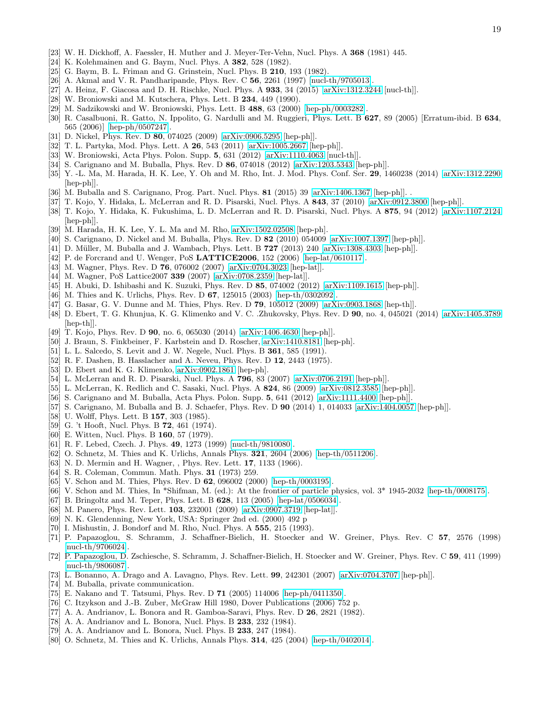- [23] W. H. Dickhoff, A. Faessler, H. Muther and J. Meyer-Ter-Vehn, Nucl. Phys. A 368 (1981) 445.
- [24] K. Kolehmainen and G. Baym, Nucl. Phys. A 382, 528 (1982).
- [25] G. Baym, B. L. Friman and G. Grinstein, Nucl. Phys. B **210**, 193 (1982).
- <span id="page-18-0"></span>[26] A. Akmal and V. R. Pandharipande, Phys. Rev. C 56, 2261 (1997) [\[nucl-th/9705013\]](http://arxiv.org/abs/nucl-th/9705013).
- <span id="page-18-1"></span>[27] A. Heinz, F. Giacosa and D. H. Rischke, Nucl. Phys. A 933, 34 (2015) [\[arXiv:1312.3244](http://arxiv.org/abs/1312.3244) [nucl-th]].
- <span id="page-18-2"></span>[28] W. Broniowski and M. Kutschera, Phys. Lett. B 234, 449 (1990).
- [29] M. Sadzikowski and W. Broniowski, Phys. Lett. B 488, 63 (2000) [\[hep-ph/0003282\]](http://arxiv.org/abs/hep-ph/0003282).
- [30] R. Casalbuoni, R. Gatto, N. Ippolito, G. Nardulli and M. Ruggieri, Phys. Lett. B 627, 89 (2005) [Erratum-ibid. B 634, 565 (2006)] [\[hep-ph/0507247\]](http://arxiv.org/abs/hep-ph/0507247).
- <span id="page-18-6"></span>[31] D. Nickel, Phys. Rev. D 80, 074025 (2009) [\[arXiv:0906.5295](http://arxiv.org/abs/0906.5295) [hep-ph]].
- [32] T. L. Partyka, Mod. Phys. Lett. A 26, 543 (2011) [\[arXiv:1005.2667](http://arxiv.org/abs/1005.2667) [hep-ph]].
- [33] W. Broniowski, Acta Phys. Polon. Supp. 5, 631 (2012) [\[arXiv:1110.4063](http://arxiv.org/abs/1110.4063) [nucl-th]].
- <span id="page-18-7"></span>[34] S. Carignano and M. Buballa, Phys. Rev. D 86, 074018 (2012) [\[arXiv:1203.5343](http://arxiv.org/abs/1203.5343) [hep-ph]].
- [35] Y. -L. Ma, M. Harada, H. K. Lee, Y. Oh and M. Rho, Int. J. Mod. Phys. Conf. Ser. 29, 1460238 (2014) [\[arXiv:1312.2290](http://arxiv.org/abs/1312.2290) [hep-ph]].
- <span id="page-18-38"></span>[36] M. Buballa and S. Carignano, Prog. Part. Nucl. Phys. 81 (2015) 39 [\[arXiv:1406.1367](http://arxiv.org/abs/1406.1367) [hep-ph]]. .
- <span id="page-18-15"></span>[37] T. Kojo, Y. Hidaka, L. McLerran and R. D. Pisarski, Nucl. Phys. A 843, 37 (2010) [\[arXiv:0912.3800](http://arxiv.org/abs/0912.3800) [hep-ph]].
- <span id="page-18-39"></span>[38] T. Kojo, Y. Hidaka, K. Fukushima, L. D. McLerran and R. D. Pisarski, Nucl. Phys. A 875, 94 (2012) [\[arXiv:1107.2124](http://arxiv.org/abs/1107.2124) [hep-ph]].
- [39] M. Harada, H. K. Lee, Y. L. Ma and M. Rho, [arXiv:1502.02508](http://arxiv.org/abs/1502.02508) [hep-ph].
- [40] S. Carignano, D. Nickel and M. Buballa, Phys. Rev. D 82 (2010) 054009 [\[arXiv:1007.1397](http://arxiv.org/abs/1007.1397) [hep-ph]].
- <span id="page-18-3"></span>[41] D. Müller, M. Buballa and J. Wambach, Phys. Lett. B 727 (2013) 240 [\[arXiv:1308.4303](http://arxiv.org/abs/1308.4303) [hep-ph]].
- <span id="page-18-4"></span>[42] P. de Forcrand and U. Wenger, PoS  $LATTICE2006$ , 152 (2006) [\[hep-lat/0610117\]](http://arxiv.org/abs/hep-lat/0610117).
- <span id="page-18-18"></span>[43] M. Wagner, Phys. Rev. D **76**, 076002 (2007) [\[arXiv:0704.3023](http://arxiv.org/abs/0704.3023) [hep-lat]].
- <span id="page-18-5"></span>[44] M. Wagner, PoS Lattice2007 339 (2007) [\[arXiv:0708.2359](http://arxiv.org/abs/0708.2359) [hep-lat]].
- <span id="page-18-8"></span>[45] H. Abuki, D. Ishibashi and K. Suzuki, Phys. Rev. D 85, 074002 (2012) [\[arXiv:1109.1615](http://arxiv.org/abs/1109.1615) [hep-ph]].
- <span id="page-18-9"></span>[46] M. Thies and K. Urlichs, Phys. Rev. D 67, 125015 (2003) [\[hep-th/0302092\]](http://arxiv.org/abs/hep-th/0302092).
- <span id="page-18-11"></span>[47] G. Basar, G. V. Dunne and M. Thies, Phys. Rev. D 79, 105012 (2009) [\[arXiv:0903.1868](http://arxiv.org/abs/0903.1868) [hep-th]].
- <span id="page-18-40"></span>[48] D. Ebert, T. G. Khunjua, K. G. Klimenko and V. C. .Zhukovsky, Phys. Rev. D 90, no. 4, 045021 (2014) [\[arXiv:1405.3789](http://arxiv.org/abs/1405.3789) [hep-th]].
- [49] T. Kojo, Phys. Rev. D **90**, no. 6, 065030 (2014) [\[arXiv:1406.4630](http://arxiv.org/abs/1406.4630) [hep-ph]].
- <span id="page-18-10"></span>[50] J. Braun, S. Finkbeiner, F. Karbstein and D. Roscher, [arXiv:1410.8181](http://arxiv.org/abs/1410.8181) [hep-ph].
- <span id="page-18-12"></span>[51] L. L. Salcedo, S. Levit and J. W. Negele, Nucl. Phys. B **361**, 585 (1991).
- <span id="page-18-13"></span>[52] R. F. Dashen, B. Hasslacher and A. Neveu, Phys. Rev. D 12, 2443 (1975).
- <span id="page-18-14"></span>[53] D. Ebert and K. G. Klimenko, [arXiv:0902.1861](http://arxiv.org/abs/0902.1861) [hep-ph].
- <span id="page-18-16"></span>[54] L. McLerran and R. D. Pisarski, Nucl. Phys. A **796**, 83 (2007) [\[arXiv:0706.2191](http://arxiv.org/abs/0706.2191) [hep-ph]].
- <span id="page-18-17"></span>[55] L. McLerran, K. Redlich and C. Sasaki, Nucl. Phys. A **824**, 86 (2009) [\[arXiv:0812.3585](http://arxiv.org/abs/0812.3585) [hep-ph]].
- <span id="page-18-19"></span>[56] S. Carignano and M. Buballa, Acta Phys. Polon. Supp. 5, 641 (2012) [\[arXiv:1111.4400](http://arxiv.org/abs/1111.4400) [hep-ph]].
- <span id="page-18-20"></span>[57] S. Carignano, M. Buballa and B. J. Schaefer, Phys. Rev. D 90 (2014) 1, 014033 [\[arXiv:1404.0057](http://arxiv.org/abs/1404.0057) [hep-ph]].
- <span id="page-18-21"></span>[58] U. Wolff, Phys. Lett. B **157**, 303 (1985).
- <span id="page-18-22"></span>[59] G. 't Hooft, Nucl. Phys. B **72**, 461 (1974).
- [60] E. Witten, Nucl. Phys. B 160, 57 (1979).
- [61] R. F. Lebed, Czech. J. Phys. 49, 1273 (1999) [\[nucl-th/9810080\]](http://arxiv.org/abs/nucl-th/9810080).
- <span id="page-18-23"></span>[62] O. Schnetz, M. Thies and K. Urlichs, Annals Phys. 321, 2604 (2006) [\[hep-th/0511206\]](http://arxiv.org/abs/hep-th/0511206).
- <span id="page-18-24"></span>[63] N. D. Mermin and H. Wagner, , Phys. Rev. Lett. 17, 1133 (1966).
- <span id="page-18-25"></span>[64] S. R. Coleman, Commun. Math. Phys. **31** (1973) 259.
- <span id="page-18-26"></span>[65] V. Schon and M. Thies, Phys. Rev. D 62, 096002 (2000) [\[hep-th/0003195\]](http://arxiv.org/abs/hep-th/0003195).
- <span id="page-18-27"></span>[66] V. Schon and M. Thies, In \*Shifman, M. (ed.): At the frontier of particle physics, vol. 3\* 1945-2032 [\[hep-th/0008175\]](http://arxiv.org/abs/hep-th/0008175).
- <span id="page-18-28"></span>[67] B. Bringoltz and M. Teper, Phys. Lett. B 628, 113 (2005) [\[hep-lat/0506034\]](http://arxiv.org/abs/hep-lat/0506034).
- <span id="page-18-29"></span>[68] M. Panero, Phys. Rev. Lett. 103, 232001 (2009) [\[arXiv:0907.3719](http://arxiv.org/abs/0907.3719) [hep-lat]].
- <span id="page-18-30"></span>[69] N. K. Glendenning, New York, USA: Springer 2nd ed. (2000) 492 p
- [70] I. Mishustin, J. Bondorf and M. Rho, Nucl. Phys. A 555, 215 (1993).
- [71] P. Papazoglou, S. Schramm, J. Schaffner-Bielich, H. Stoecker and W. Greiner, Phys. Rev. C 57, 2576 (1998) [\[nucl-th/9706024\]](http://arxiv.org/abs/nucl-th/9706024).
- [72] P. Papazoglou, D. Zschiesche, S. Schramm, J. Schaffner-Bielich, H. Stoecker and W. Greiner, Phys. Rev. C 59, 411 (1999) [\[nucl-th/9806087\]](http://arxiv.org/abs/nucl-th/9806087).
- <span id="page-18-31"></span>[73] L. Bonanno, A. Drago and A. Lavagno, Phys. Rev. Lett. 99, 242301 (2007) [\[arXiv:0704.3707](http://arxiv.org/abs/0704.3707) [hep-ph]].
- <span id="page-18-32"></span>[74] M. Buballa, private communication.
- <span id="page-18-33"></span>[75] E. Nakano and T. Tatsumi, Phys. Rev. D 71 (2005) 114006 [\[hep-ph/0411350\]](http://arxiv.org/abs/hep-ph/0411350).
- <span id="page-18-34"></span>[76] C. Itzykson and J.-B. Zuber, McGraw Hill 1980, Dover Publications (2006) 752 p.
- <span id="page-18-35"></span>[77] A. A. Andrianov, L. Bonora and R. Gamboa-Saravi, Phys. Rev. D 26, 2821 (1982).
- [78] A. A. Andrianov and L. Bonora, Nucl. Phys. B 233, 232 (1984).
- <span id="page-18-36"></span>[79] A. A. Andrianov and L. Bonora, Nucl. Phys. B 233, 247 (1984).
- <span id="page-18-37"></span>[80] O. Schnetz, M. Thies and K. Urlichs, Annals Phys. **314**, 425 (2004) [\[hep-th/0402014\]](http://arxiv.org/abs/hep-th/0402014).